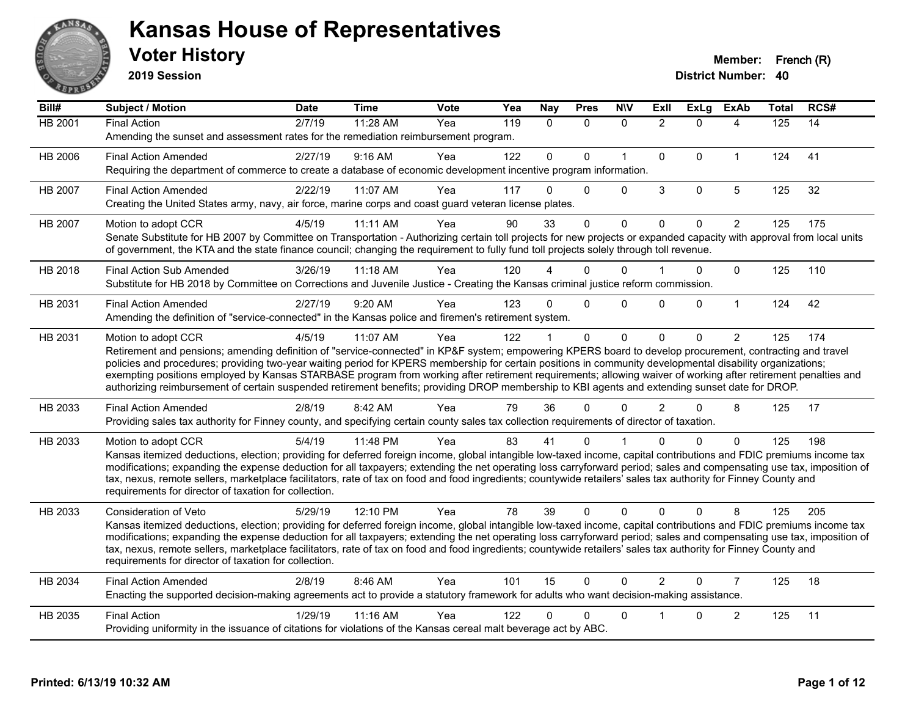

**2019 Session**

| Bill#   | Subject / Motion                                                                                                                                                                                                                                                                                                                         | <b>Date</b> | <b>Time</b> | Vote | Yea | Nay         | <b>Pres</b>  | <b>NIV</b>   | ExII           | ExLg        | <b>ExAb</b>    | <b>Total</b> | RCS# |
|---------|------------------------------------------------------------------------------------------------------------------------------------------------------------------------------------------------------------------------------------------------------------------------------------------------------------------------------------------|-------------|-------------|------|-----|-------------|--------------|--------------|----------------|-------------|----------------|--------------|------|
| HB 2001 | <b>Final Action</b>                                                                                                                                                                                                                                                                                                                      | 2/7/19      | 11:28 AM    | Yea  | 119 | $\Omega$    | $\mathbf{0}$ | $\mathbf{0}$ | $\overline{2}$ | $\Omega$    | 4              | 125          | 14   |
|         | Amending the sunset and assessment rates for the remediation reimbursement program.                                                                                                                                                                                                                                                      |             |             |      |     |             |              |              |                |             |                |              |      |
| HB 2006 | <b>Final Action Amended</b>                                                                                                                                                                                                                                                                                                              | 2/27/19     | 9:16 AM     | Yea  | 122 | $\mathbf 0$ | $\Omega$     | $\mathbf{1}$ | $\mathbf 0$    | $\Omega$    | $\mathbf{1}$   | 124          | 41   |
|         | Requiring the department of commerce to create a database of economic development incentive program information.                                                                                                                                                                                                                         |             |             |      |     |             |              |              |                |             |                |              |      |
| HB 2007 | <b>Final Action Amended</b>                                                                                                                                                                                                                                                                                                              | 2/22/19     | 11:07 AM    | Yea  | 117 | 0           | $\Omega$     | $\mathbf 0$  | $\mathbf{3}$   | $\mathbf 0$ | 5              | 125          | 32   |
|         | Creating the United States army, navy, air force, marine corps and coast guard veteran license plates.                                                                                                                                                                                                                                   |             |             |      |     |             |              |              |                |             |                |              |      |
| HB 2007 | Motion to adopt CCR                                                                                                                                                                                                                                                                                                                      | 4/5/19      | 11:11 AM    | Yea  | 90  | 33          | $\Omega$     | $\mathbf{0}$ | $\Omega$       | $\Omega$    | $\overline{2}$ | 125          | 175  |
|         | Senate Substitute for HB 2007 by Committee on Transportation - Authorizing certain toll projects for new projects or expanded capacity with approval from local units                                                                                                                                                                    |             |             |      |     |             |              |              |                |             |                |              |      |
|         | of government, the KTA and the state finance council; changing the requirement to fully fund toll projects solely through toll revenue.                                                                                                                                                                                                  |             |             |      |     |             |              |              |                |             |                |              |      |
| HB 2018 | <b>Final Action Sub Amended</b>                                                                                                                                                                                                                                                                                                          | 3/26/19     | $11:18$ AM  | Yea  | 120 |             | 0            | $\Omega$     |                | $\Omega$    | $\mathbf{0}$   | 125          | 110  |
|         | Substitute for HB 2018 by Committee on Corrections and Juvenile Justice - Creating the Kansas criminal justice reform commission.                                                                                                                                                                                                        |             |             |      |     |             |              |              |                |             |                |              |      |
| HB 2031 | <b>Final Action Amended</b>                                                                                                                                                                                                                                                                                                              | 2/27/19     | 9:20 AM     | Yea  | 123 | 0           | $\Omega$     | $\Omega$     | $\Omega$       | $\Omega$    | $\mathbf{1}$   | 124          | 42   |
|         | Amending the definition of "service-connected" in the Kansas police and firemen's retirement system.                                                                                                                                                                                                                                     |             |             |      |     |             |              |              |                |             |                |              |      |
| HB 2031 | Motion to adopt CCR                                                                                                                                                                                                                                                                                                                      | 4/5/19      | 11:07 AM    | Yea  | 122 |             | $\mathbf{0}$ | $\mathbf{0}$ | $\Omega$       | $\Omega$    | 2              | 125          | 174  |
|         | Retirement and pensions; amending definition of "service-connected" in KP&F system; empowering KPERS board to develop procurement, contracting and travel                                                                                                                                                                                |             |             |      |     |             |              |              |                |             |                |              |      |
|         | policies and procedures; providing two-year waiting period for KPERS membership for certain positions in community developmental disability organizations;<br>exempting positions employed by Kansas STARBASE program from working after retirement requirements; allowing waiver of working after retirement penalties and              |             |             |      |     |             |              |              |                |             |                |              |      |
|         | authorizing reimbursement of certain suspended retirement benefits; providing DROP membership to KBI agents and extending sunset date for DROP.                                                                                                                                                                                          |             |             |      |     |             |              |              |                |             |                |              |      |
| HB 2033 | <b>Final Action Amended</b>                                                                                                                                                                                                                                                                                                              | 2/8/19      | 8:42 AM     | Yea  | 79  | 36          | 0            | $\Omega$     | $\overline{2}$ | $\Omega$    | 8              | 125          | 17   |
|         | Providing sales tax authority for Finney county, and specifying certain county sales tax collection requirements of director of taxation.                                                                                                                                                                                                |             |             |      |     |             |              |              |                |             |                |              |      |
| HB 2033 | Motion to adopt CCR                                                                                                                                                                                                                                                                                                                      | 5/4/19      | 11:48 PM    | Yea  | 83  | 41          | 0            |              |                | 0           | 0              | 125          | 198  |
|         | Kansas itemized deductions, election; providing for deferred foreign income, global intangible low-taxed income, capital contributions and FDIC premiums income tax                                                                                                                                                                      |             |             |      |     |             |              |              |                |             |                |              |      |
|         | modifications; expanding the expense deduction for all taxpayers; extending the net operating loss carryforward period; sales and compensating use tax, imposition of                                                                                                                                                                    |             |             |      |     |             |              |              |                |             |                |              |      |
|         | tax, nexus, remote sellers, marketplace facilitators, rate of tax on food and food ingredients; countywide retailers' sales tax authority for Finney County and                                                                                                                                                                          |             |             |      |     |             |              |              |                |             |                |              |      |
|         | requirements for director of taxation for collection.                                                                                                                                                                                                                                                                                    |             |             |      |     |             |              |              |                |             |                |              |      |
| HB 2033 | Consideration of Veto                                                                                                                                                                                                                                                                                                                    | 5/29/19     | 12:10 PM    | Yea  | 78  | 39          | $\Omega$     | $\mathbf{0}$ | $\Omega$       | $\Omega$    | 8              | 125          | 205  |
|         | Kansas itemized deductions, election; providing for deferred foreign income, global intangible low-taxed income, capital contributions and FDIC premiums income tax                                                                                                                                                                      |             |             |      |     |             |              |              |                |             |                |              |      |
|         | modifications; expanding the expense deduction for all taxpayers; extending the net operating loss carryforward period; sales and compensating use tax, imposition of<br>tax, nexus, remote sellers, marketplace facilitators, rate of tax on food and food ingredients; countywide retailers' sales tax authority for Finney County and |             |             |      |     |             |              |              |                |             |                |              |      |
|         | requirements for director of taxation for collection.                                                                                                                                                                                                                                                                                    |             |             |      |     |             |              |              |                |             |                |              |      |
| HB 2034 | <b>Final Action Amended</b>                                                                                                                                                                                                                                                                                                              | 2/8/19      | 8:46 AM     | Yea  | 101 | 15          | $\Omega$     | $\Omega$     | $\mathcal{P}$  | $\Omega$    | $\overline{7}$ | 125          | 18   |
|         | Enacting the supported decision-making agreements act to provide a statutory framework for adults who want decision-making assistance.                                                                                                                                                                                                   |             |             |      |     |             |              |              |                |             |                |              |      |
| HB 2035 | <b>Final Action</b>                                                                                                                                                                                                                                                                                                                      | 1/29/19     | 11:16 AM    | Yea  | 122 | 0           | 0            | $\mathbf 0$  |                | $\Omega$    | $\overline{c}$ | 125          | 11   |
|         | Providing uniformity in the issuance of citations for violations of the Kansas cereal malt beverage act by ABC.                                                                                                                                                                                                                          |             |             |      |     |             |              |              |                |             |                |              |      |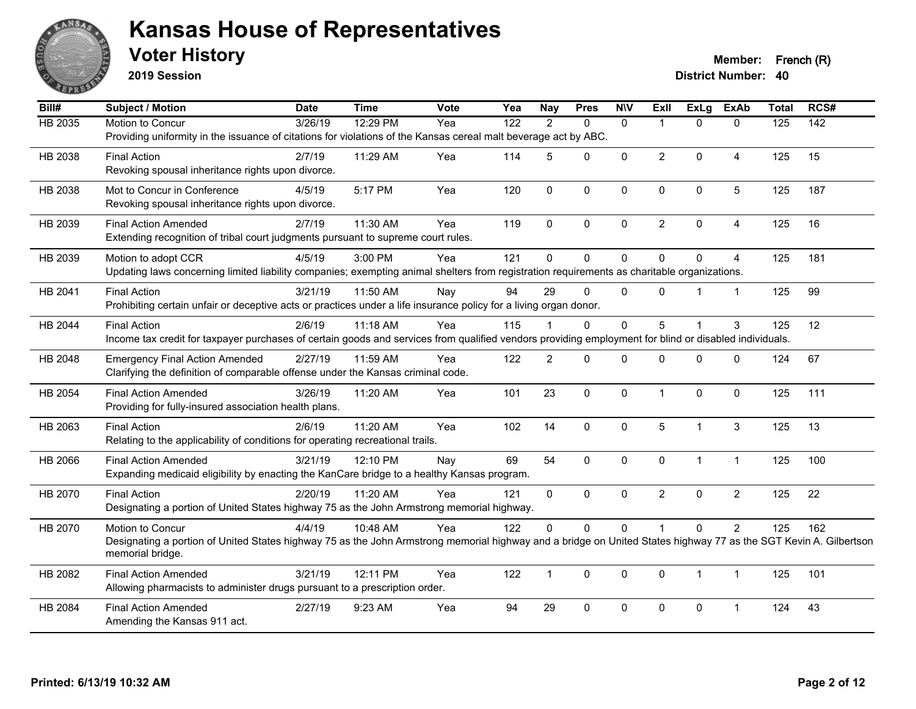

**2019 Session**

**Voter History Member: French (R)** 

| Bill#          | <b>Subject / Motion</b>                                                                                                                                          | <b>Date</b> | <b>Time</b> | <b>Vote</b> | Yea              | <b>Nay</b>     | <b>Pres</b>  | <b>N\V</b>   | ExII           | <b>ExLg</b>    | <b>ExAb</b>    | <b>Total</b>     | RCS#             |
|----------------|------------------------------------------------------------------------------------------------------------------------------------------------------------------|-------------|-------------|-------------|------------------|----------------|--------------|--------------|----------------|----------------|----------------|------------------|------------------|
| <b>HB 2035</b> | Motion to Concur                                                                                                                                                 | 3/26/19     | 12:29 PM    | Yea         | $\overline{122}$ | 2              | $\mathbf{0}$ | $\mathbf{0}$ |                | $\Omega$       | $\mathbf{0}$   | $\overline{125}$ | $\overline{142}$ |
|                | Providing uniformity in the issuance of citations for violations of the Kansas cereal malt beverage act by ABC.                                                  |             |             |             |                  |                |              |              |                |                |                |                  |                  |
| HB 2038        | <b>Final Action</b>                                                                                                                                              | 2/7/19      | 11:29 AM    | Yea         | 114              | 5              | $\Omega$     | $\mathbf 0$  | $\overline{2}$ | $\mathbf{0}$   | 4              | 125              | 15               |
|                | Revoking spousal inheritance rights upon divorce.                                                                                                                |             |             |             |                  |                |              |              |                |                |                |                  |                  |
| HB 2038        | Mot to Concur in Conference                                                                                                                                      | 4/5/19      | 5:17 PM     | Yea         | 120              | $\mathbf 0$    | $\mathbf 0$  | $\mathbf 0$  | 0              | $\mathbf 0$    | 5              | 125              | 187              |
|                | Revoking spousal inheritance rights upon divorce.                                                                                                                |             |             |             |                  |                |              |              |                |                |                |                  |                  |
|                |                                                                                                                                                                  |             |             |             |                  |                |              |              |                |                |                |                  |                  |
| HB 2039        | <b>Final Action Amended</b><br>Extending recognition of tribal court judgments pursuant to supreme court rules.                                                  | 2/7/19      | 11:30 AM    | Yea         | 119              | $\Omega$       | $\mathbf{0}$ | $\mathbf{0}$ | $\overline{2}$ | $\mathbf{0}$   | 4              | 125              | 16               |
|                |                                                                                                                                                                  |             |             |             |                  |                |              |              |                |                |                |                  |                  |
| HB 2039        | Motion to adopt CCR                                                                                                                                              | 4/5/19      | 3:00 PM     | Yea         | 121              | 0              | $\mathbf 0$  | $\mathbf 0$  | $\Omega$       | $\mathbf 0$    | 4              | 125              | 181              |
|                | Updating laws concerning limited liability companies; exempting animal shelters from registration requirements as charitable organizations.                      |             |             |             |                  |                |              |              |                |                |                |                  |                  |
| HB 2041        | <b>Final Action</b>                                                                                                                                              | 3/21/19     | 11:50 AM    | Nay         | 94               | 29             | $\Omega$     | $\Omega$     | $\Omega$       |                | $\mathbf{1}$   | 125              | 99               |
|                | Prohibiting certain unfair or deceptive acts or practices under a life insurance policy for a living organ donor.                                                |             |             |             |                  |                |              |              |                |                |                |                  |                  |
| HB 2044        | <b>Final Action</b>                                                                                                                                              | 2/6/19      | 11:18 AM    | Yea         | 115              |                | $\mathbf 0$  | 0            | 5              |                | 3              | 125              | 12               |
|                | Income tax credit for taxpayer purchases of certain goods and services from qualified vendors providing employment for blind or disabled individuals.            |             |             |             |                  |                |              |              |                |                |                |                  |                  |
| HB 2048        | <b>Emergency Final Action Amended</b>                                                                                                                            | 2/27/19     | 11:59 AM    | Yea         | 122              | $\overline{2}$ | $\Omega$     | $\Omega$     | <sup>0</sup>   | $\Omega$       | $\Omega$       | 124              | 67               |
|                | Clarifying the definition of comparable offense under the Kansas criminal code.                                                                                  |             |             |             |                  |                |              |              |                |                |                |                  |                  |
| HB 2054        | <b>Final Action Amended</b>                                                                                                                                      | 3/26/19     | 11:20 AM    | Yea         | 101              | 23             | $\mathbf 0$  | $\mathbf 0$  | 1              | $\mathbf 0$    | $\mathbf 0$    | 125              | 111              |
|                | Providing for fully-insured association health plans.                                                                                                            |             |             |             |                  |                |              |              |                |                |                |                  |                  |
|                |                                                                                                                                                                  |             |             |             |                  |                |              |              |                |                |                |                  |                  |
| HB 2063        | <b>Final Action</b>                                                                                                                                              | 2/6/19      | 11:20 AM    | Yea         | 102              | 14             | $\mathbf 0$  | $\mathbf 0$  | 5              | $\mathbf 1$    | 3              | 125              | 13               |
|                | Relating to the applicability of conditions for operating recreational trails.                                                                                   |             |             |             |                  |                |              |              |                |                |                |                  |                  |
| HB 2066        | <b>Final Action Amended</b>                                                                                                                                      | 3/21/19     | 12:10 PM    | Nay         | 69               | 54             | $\mathbf{0}$ | $\mathbf 0$  | $\Omega$       | $\mathbf 1$    | $\mathbf{1}$   | 125              | 100              |
|                | Expanding medicaid eligibility by enacting the KanCare bridge to a healthy Kansas program.                                                                       |             |             |             |                  |                |              |              |                |                |                |                  |                  |
| HB 2070        | <b>Final Action</b>                                                                                                                                              | 2/20/19     | 11:20 AM    | Yea         | 121              | $\mathbf{0}$   | $\mathbf{0}$ | $\Omega$     | $\overline{2}$ | $\Omega$       | $\overline{2}$ | 125              | 22               |
|                | Designating a portion of United States highway 75 as the John Armstrong memorial highway.                                                                        |             |             |             |                  |                |              |              |                |                |                |                  |                  |
| HB 2070        | Motion to Concur                                                                                                                                                 | 4/4/19      | 10:48 AM    | Yea         | 122              | $\Omega$       | $\mathbf{0}$ | 0            |                | $\mathbf{0}$   | $\overline{2}$ | 125              | 162              |
|                | Designating a portion of United States highway 75 as the John Armstrong memorial highway and a bridge on United States highway 77 as the SGT Kevin A. Gilbertson |             |             |             |                  |                |              |              |                |                |                |                  |                  |
|                | memorial bridge.                                                                                                                                                 |             |             |             |                  |                |              |              |                |                |                |                  |                  |
| HB 2082        | <b>Final Action Amended</b>                                                                                                                                      | 3/21/19     | 12:11 PM    | Yea         | 122              | $\mathbf{1}$   | $\mathbf{0}$ | 0            | $\Omega$       | $\overline{1}$ | $\mathbf{1}$   | 125              | 101              |
|                | Allowing pharmacists to administer drugs pursuant to a prescription order.                                                                                       |             |             |             |                  |                |              |              |                |                |                |                  |                  |
| HB 2084        | <b>Final Action Amended</b>                                                                                                                                      | 2/27/19     | 9:23 AM     | Yea         | 94               | 29             | $\mathbf 0$  | 0            | $\Omega$       | $\pmb{0}$      | $\overline{1}$ | 124              | 43               |
|                | Amending the Kansas 911 act.                                                                                                                                     |             |             |             |                  |                |              |              |                |                |                |                  |                  |
|                |                                                                                                                                                                  |             |             |             |                  |                |              |              |                |                |                |                  |                  |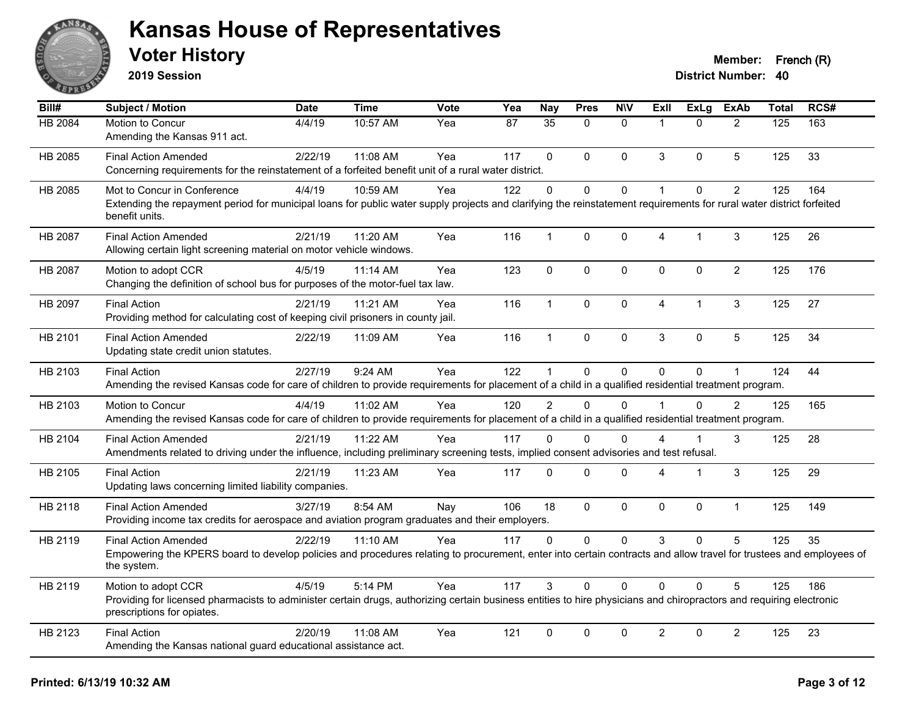

**2019 Session**

| Bill#          | Subject / Motion                                                                                                                                                                                  | <b>Date</b> | Time       | <b>Vote</b> | Yea | <b>Nay</b>     | <b>Pres</b> | <b>N\V</b>   | <b>ExII</b>    | <b>ExLg</b>  | <b>ExAb</b>    | <b>Total</b> | RCS# |
|----------------|---------------------------------------------------------------------------------------------------------------------------------------------------------------------------------------------------|-------------|------------|-------------|-----|----------------|-------------|--------------|----------------|--------------|----------------|--------------|------|
| HB 2084        | Motion to Concur                                                                                                                                                                                  | 4/4/19      | 10:57 AM   | Yea         | 87  | 35             | $\Omega$    | $\mathbf{0}$ | $\mathbf{1}$   | $\Omega$     | $\overline{2}$ | 125          | 163  |
|                | Amending the Kansas 911 act.                                                                                                                                                                      |             |            |             |     |                |             |              |                |              |                |              |      |
| HB 2085        | <b>Final Action Amended</b>                                                                                                                                                                       | 2/22/19     | 11:08 AM   | Yea         | 117 | $\Omega$       | $\Omega$    | $\mathbf{0}$ | 3              | $\Omega$     | 5              | 125          | 33   |
|                | Concerning requirements for the reinstatement of a forfeited benefit unit of a rural water district.                                                                                              |             |            |             |     |                |             |              |                |              |                |              |      |
| HB 2085        | Mot to Concur in Conference                                                                                                                                                                       | 4/4/19      | 10:59 AM   | Yea         | 122 | $\Omega$       | $\Omega$    | $\pmb{0}$    | 1              | $\Omega$     | $\overline{2}$ | 125          | 164  |
|                | Extending the repayment period for municipal loans for public water supply projects and clarifying the reinstatement requirements for rural water district forfeited<br>benefit units.            |             |            |             |     |                |             |              |                |              |                |              |      |
| <b>HB 2087</b> | <b>Final Action Amended</b>                                                                                                                                                                       | 2/21/19     | 11:20 AM   | Yea         | 116 | $\mathbf{1}$   | $\mathbf 0$ | 0            | 4              | $\mathbf 1$  | 3              | 125          | 26   |
|                | Allowing certain light screening material on motor vehicle windows.                                                                                                                               |             |            |             |     |                |             |              |                |              |                |              |      |
| HB 2087        | Motion to adopt CCR                                                                                                                                                                               | 4/5/19      | 11:14 AM   | Yea         | 123 | $\mathbf 0$    | $\mathbf 0$ | $\mathbf 0$  | 0              | 0            | $\overline{2}$ | 125          | 176  |
|                | Changing the definition of school bus for purposes of the motor-fuel tax law.                                                                                                                     |             |            |             |     |                |             |              |                |              |                |              |      |
| HB 2097        | <b>Final Action</b>                                                                                                                                                                               | 2/21/19     | 11:21 AM   | Yea         | 116 | $\mathbf{1}$   | $\Omega$    | $\mathbf 0$  | $\overline{4}$ | $\mathbf{1}$ | 3              | 125          | 27   |
|                | Providing method for calculating cost of keeping civil prisoners in county jail.                                                                                                                  |             |            |             |     |                |             |              |                |              |                |              |      |
| HB 2101        | Final Action Amended                                                                                                                                                                              | 2/22/19     | 11:09 AM   | Yea         | 116 | $\mathbf{1}$   | $\Omega$    | $\mathbf 0$  | 3              | 0            | 5              | 125          | 34   |
|                | Updating state credit union statutes.                                                                                                                                                             |             |            |             |     |                |             |              |                |              |                |              |      |
| HB 2103        | <b>Final Action</b>                                                                                                                                                                               | 2/27/19     | 9:24 AM    | Yea         | 122 |                | 0           | $\mathbf{0}$ | $\Omega$       | 0            | 1              | 124          | 44   |
|                | Amending the revised Kansas code for care of children to provide requirements for placement of a child in a qualified residential treatment program.                                              |             |            |             |     |                |             |              |                |              |                |              |      |
| HB 2103        | Motion to Concur                                                                                                                                                                                  | 4/4/19      | 11:02 AM   | Yea         | 120 | $\overline{2}$ | $\Omega$    | $\Omega$     |                | $\Omega$     | 2              | 125          | 165  |
|                | Amending the revised Kansas code for care of children to provide requirements for placement of a child in a qualified residential treatment program.                                              |             |            |             |     |                |             |              |                |              |                |              |      |
| HB 2104        | <b>Final Action Amended</b>                                                                                                                                                                       | 2/21/19     | $11:22$ AM | Yea         | 117 | $\Omega$       | $\Omega$    | $\Omega$     | 4              | $\mathbf{1}$ | 3              | 125          | 28   |
|                | Amendments related to driving under the influence, including preliminary screening tests, implied consent advisories and test refusal.                                                            |             |            |             |     |                |             |              |                |              |                |              |      |
| HB 2105        | <b>Final Action</b>                                                                                                                                                                               | 2/21/19     | 11:23 AM   | Yea         | 117 | $\Omega$       | $\Omega$    | $\mathbf 0$  | 4              | 1            | 3              | 125          | 29   |
|                | Updating laws concerning limited liability companies.                                                                                                                                             |             |            |             |     |                |             |              |                |              |                |              |      |
| HB 2118        | <b>Final Action Amended</b>                                                                                                                                                                       | 3/27/19     | 8:54 AM    | Nay         | 106 | 18             | $\Omega$    | $\mathbf{0}$ | $\Omega$       | $\Omega$     | $\mathbf{1}$   | 125          | 149  |
|                | Providing income tax credits for aerospace and aviation program graduates and their employers.                                                                                                    |             |            |             |     |                |             |              |                |              |                |              |      |
| HB 2119        | Final Action Amended                                                                                                                                                                              | 2/22/19     | $11:10$ AM | Yea         | 117 | $\Omega$       | $\Omega$    | $\mathbf{0}$ | 3              | $\mathbf{0}$ | 5              | 125          | 35   |
|                | Empowering the KPERS board to develop policies and procedures relating to procurement, enter into certain contracts and allow travel for trustees and employees of<br>the system.                 |             |            |             |     |                |             |              |                |              |                |              |      |
| HB 2119        | Motion to adopt CCR                                                                                                                                                                               | 4/5/19      | 5:14 PM    | Yea         | 117 | 3              | $\Omega$    | $\mathbf{0}$ | $\Omega$       | $\mathbf{0}$ | 5              | 125          | 186  |
|                | Providing for licensed pharmacists to administer certain drugs, authorizing certain business entities to hire physicians and chiropractors and requiring electronic<br>prescriptions for opiates. |             |            |             |     |                |             |              |                |              |                |              |      |
| HB 2123        | <b>Final Action</b>                                                                                                                                                                               | 2/20/19     | 11:08 AM   | Yea         | 121 | $\mathbf 0$    | 0           | $\mathbf 0$  | $\overline{c}$ | $\mathbf 0$  | $\overline{2}$ | 125          | 23   |
|                | Amending the Kansas national guard educational assistance act.                                                                                                                                    |             |            |             |     |                |             |              |                |              |                |              |      |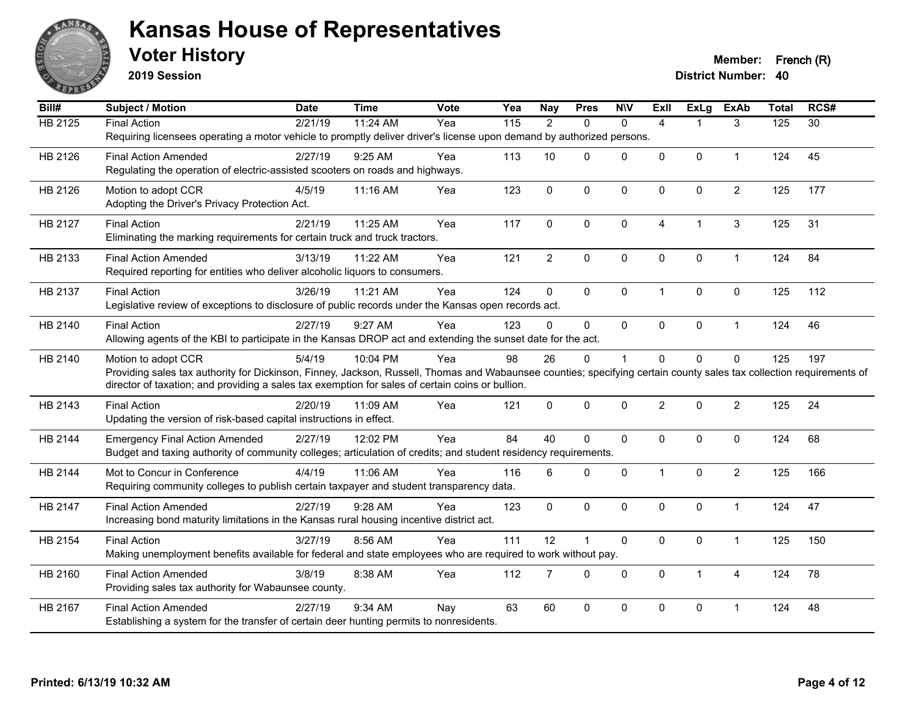

**2019 Session**

| Bill#          | Subject / Motion                                                                                                                                                     | <b>Date</b> | <b>Time</b> | <b>Vote</b> | Yea | <b>Nay</b>     | <b>Pres</b>          | <b>NIV</b>     | <b>Exll</b>    | <b>ExLg</b>  | <b>ExAb</b>    | <b>Total</b> | RCS#            |
|----------------|----------------------------------------------------------------------------------------------------------------------------------------------------------------------|-------------|-------------|-------------|-----|----------------|----------------------|----------------|----------------|--------------|----------------|--------------|-----------------|
| <b>HB 2125</b> | <b>Final Action</b>                                                                                                                                                  | 2/21/19     | 11:24 AM    | Yea         | 115 | 2              | $\Omega$             | $\mathbf{0}$   | $\overline{4}$ |              | 3              | 125          | $\overline{30}$ |
|                | Requiring licensees operating a motor vehicle to promptly deliver driver's license upon demand by authorized persons.                                                |             |             |             |     |                |                      |                |                |              |                |              |                 |
| HB 2126        | <b>Final Action Amended</b>                                                                                                                                          | 2/27/19     | 9:25 AM     | Yea         | 113 | 10             | $\Omega$             | $\mathbf{0}$   | $\overline{0}$ | $\Omega$     | $\mathbf{1}$   | 124          | 45              |
|                | Regulating the operation of electric-assisted scooters on roads and highways.                                                                                        |             |             |             |     |                |                      |                |                |              |                |              |                 |
| HB 2126        | Motion to adopt CCR                                                                                                                                                  | 4/5/19      | 11:16 AM    | Yea         | 123 | $\mathbf 0$    | 0                    | $\pmb{0}$      | 0              | 0            | $\overline{c}$ | 125          | 177             |
|                | Adopting the Driver's Privacy Protection Act.                                                                                                                        |             |             |             |     |                |                      |                |                |              |                |              |                 |
| HB 2127        | <b>Final Action</b>                                                                                                                                                  | 2/21/19     | 11:25 AM    | Yea         | 117 | $\Omega$       | $\Omega$             | $\mathbf{0}$   | 4              |              | 3              | 125          | 31              |
|                | Eliminating the marking requirements for certain truck and truck tractors.                                                                                           |             |             |             |     |                |                      |                |                |              |                |              |                 |
|                |                                                                                                                                                                      |             |             |             |     |                |                      |                |                |              |                |              |                 |
| HB 2133        | <b>Final Action Amended</b>                                                                                                                                          | 3/13/19     | 11:22 AM    | Yea         | 121 | $\overline{2}$ | $\mathsf{O}\xspace$  | $\pmb{0}$      | 0              | 0            | $\mathbf{1}$   | 124          | 84              |
|                | Required reporting for entities who deliver alcoholic liquors to consumers.                                                                                          |             |             |             |     |                |                      |                |                |              |                |              |                 |
| HB 2137        | <b>Final Action</b>                                                                                                                                                  | 3/26/19     | 11:21 AM    | Yea         | 124 | $\mathbf 0$    | $\Omega$             | $\mathbf{0}$   | $\mathbf{1}$   | $\mathbf{0}$ | $\mathbf{0}$   | 125          | 112             |
|                | Legislative review of exceptions to disclosure of public records under the Kansas open records act.                                                                  |             |             |             |     |                |                      |                |                |              |                |              |                 |
| HB 2140        | <b>Final Action</b>                                                                                                                                                  | 2/27/19     | 9:27 AM     | Yea         | 123 | $\Omega$       | $\Omega$             | $\mathbf 0$    | 0              | 0            | $\mathbf{1}$   | 124          | 46              |
|                | Allowing agents of the KBI to participate in the Kansas DROP act and extending the sunset date for the act.                                                          |             |             |             |     |                |                      |                |                |              |                |              |                 |
| HB 2140        | Motion to adopt CCR                                                                                                                                                  | 5/4/19      | 10:04 PM    | Yea         | 98  | 26             | $\Omega$             | $\overline{1}$ | $\Omega$       | $\Omega$     | $\mathbf{0}$   | 125          | 197             |
|                | Providing sales tax authority for Dickinson, Finney, Jackson, Russell, Thomas and Wabaunsee counties; specifying certain county sales tax collection requirements of |             |             |             |     |                |                      |                |                |              |                |              |                 |
|                | director of taxation; and providing a sales tax exemption for sales of certain coins or bullion.                                                                     |             |             |             |     |                |                      |                |                |              |                |              |                 |
| HB 2143        | <b>Final Action</b>                                                                                                                                                  | 2/20/19     | 11:09 AM    | Yea         | 121 | $\mathbf{0}$   | $\mathbf 0$          | $\mathbf{0}$   | $\overline{2}$ | $\Omega$     | $\overline{2}$ | 125          | 24              |
|                | Updating the version of risk-based capital instructions in effect.                                                                                                   |             |             |             |     |                |                      |                |                |              |                |              |                 |
|                |                                                                                                                                                                      |             | 12:02 PM    | Yea         | 84  | 40             | $\Omega$             | $\mathbf{0}$   | $\Omega$       |              |                | 124          | 68              |
| HB 2144        | <b>Emergency Final Action Amended</b><br>Budget and taxing authority of community colleges; articulation of credits; and student residency requirements.             | 2/27/19     |             |             |     |                |                      |                |                | 0            | $\mathbf 0$    |              |                 |
|                |                                                                                                                                                                      |             |             |             |     |                |                      |                |                |              |                |              |                 |
| HB 2144        | Mot to Concur in Conference                                                                                                                                          | 4/4/19      | 11:06 AM    | Yea         | 116 | 6              | $\Omega$             | $\mathbf{0}$   | $\mathbf{1}$   | $\Omega$     | $\overline{2}$ | 125          | 166             |
|                | Requiring community colleges to publish certain taxpayer and student transparency data.                                                                              |             |             |             |     |                |                      |                |                |              |                |              |                 |
| HB 2147        | <b>Final Action Amended</b>                                                                                                                                          | 2/27/19     | 9:28 AM     | Yea         | 123 | $\mathbf 0$    | $\mathbf{0}$         | $\mathbf 0$    | $\Omega$       | $\Omega$     | $\mathbf{1}$   | 124          | 47              |
|                | Increasing bond maturity limitations in the Kansas rural housing incentive district act.                                                                             |             |             |             |     |                |                      |                |                |              |                |              |                 |
| HB 2154        | <b>Final Action</b>                                                                                                                                                  | 3/27/19     | 8:56 AM     | Yea         | 111 | 12             | $\blacktriangleleft$ | $\mathbf 0$    | 0              | $\mathbf 0$  | $\mathbf{1}$   | 125          | 150             |
|                | Making unemployment benefits available for federal and state employees who are required to work without pay.                                                         |             |             |             |     |                |                      |                |                |              |                |              |                 |
| HB 2160        | <b>Final Action Amended</b>                                                                                                                                          | 3/8/19      | 8:38 AM     | Yea         | 112 | $\overline{7}$ | $\Omega$             | $\mathbf 0$    | $\mathbf 0$    | $\mathbf{1}$ | 4              | 124          | 78              |
|                | Providing sales tax authority for Wabaunsee county.                                                                                                                  |             |             |             |     |                |                      |                |                |              |                |              |                 |
|                |                                                                                                                                                                      |             |             |             |     |                |                      |                |                |              |                |              |                 |
| HB 2167        | <b>Final Action Amended</b>                                                                                                                                          | 2/27/19     | 9:34 AM     | Nay         | 63  | 60             | 0                    | $\mathbf 0$    | 0              | 0            | 1              | 124          | 48              |
|                | Establishing a system for the transfer of certain deer hunting permits to nonresidents.                                                                              |             |             |             |     |                |                      |                |                |              |                |              |                 |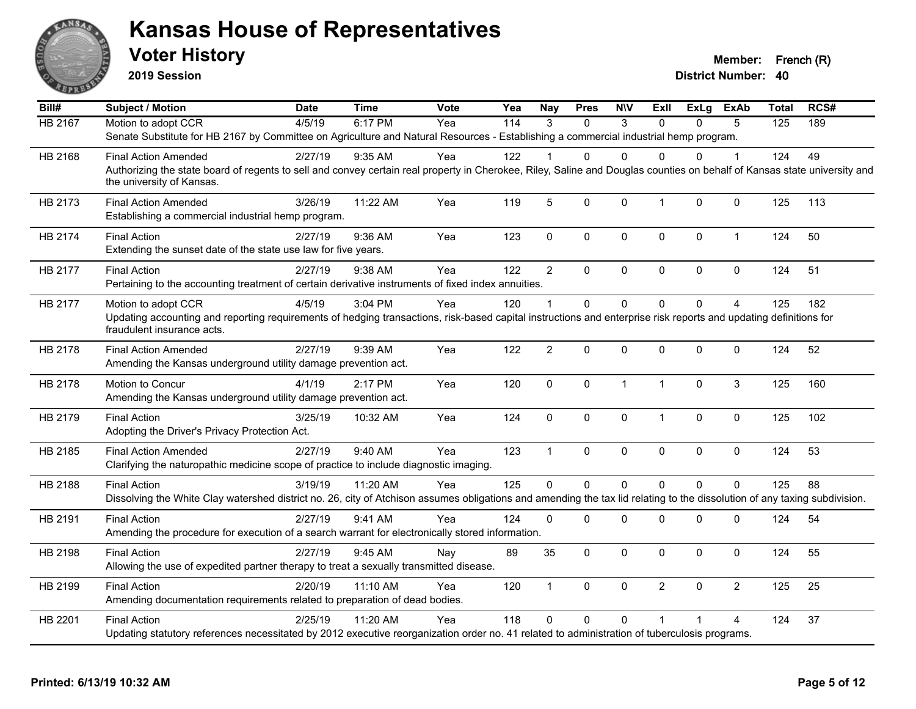

**2019 Session**

**Voter History Member: French (R)** 

| Bill#          | <b>Subject / Motion</b>                                                                                                                                                                                               | <b>Date</b> | <b>Time</b> | <b>Vote</b> | Yea | Nay             | <b>Pres</b> | <b>NIV</b>   | ExII           | ExLg     | ExAb           | <b>Total</b> | RCS# |
|----------------|-----------------------------------------------------------------------------------------------------------------------------------------------------------------------------------------------------------------------|-------------|-------------|-------------|-----|-----------------|-------------|--------------|----------------|----------|----------------|--------------|------|
| <b>HB 2167</b> | Motion to adopt CCR                                                                                                                                                                                                   | 4/5/19      | 6:17 PM     | Yea         | 114 | 3               | $\Omega$    | 3            | $\Omega$       | 0        | 5              | 125          | 189  |
|                | Senate Substitute for HB 2167 by Committee on Agriculture and Natural Resources - Establishing a commercial industrial hemp program.                                                                                  |             |             |             |     |                 |             |              |                |          |                |              |      |
| HB 2168        | <b>Final Action Amended</b>                                                                                                                                                                                           | 2/27/19     | $9:35$ AM   | Yea         | 122 |                 | 0           | $\Omega$     | $\Omega$       | 0        | 1              | 124          | 49   |
|                | Authorizing the state board of regents to sell and convey certain real property in Cherokee, Riley, Saline and Douglas counties on behalf of Kansas state university and<br>the university of Kansas.                 |             |             |             |     |                 |             |              |                |          |                |              |      |
| HB 2173        | <b>Final Action Amended</b><br>Establishing a commercial industrial hemp program.                                                                                                                                     | 3/26/19     | 11:22 AM    | Yea         | 119 | $5\phantom{.0}$ | 0           | $\mathbf 0$  | $\mathbf{1}$   | 0        | $\mathbf 0$    | 125          | 113  |
| HB 2174        | <b>Final Action</b><br>Extending the sunset date of the state use law for five years.                                                                                                                                 | 2/27/19     | 9:36 AM     | Yea         | 123 | $\mathbf 0$     | 0           | $\mathbf 0$  | $\mathbf 0$    | 0        | $\mathbf{1}$   | 124          | 50   |
| HB 2177        | <b>Final Action</b><br>Pertaining to the accounting treatment of certain derivative instruments of fixed index annuities.                                                                                             | 2/27/19     | 9:38 AM     | Yea         | 122 | $\overline{2}$  | 0           | $\mathbf 0$  | $\Omega$       | $\Omega$ | $\mathbf 0$    | 124          | 51   |
| HB 2177        | Motion to adopt CCR<br>Updating accounting and reporting requirements of hedging transactions, risk-based capital instructions and enterprise risk reports and updating definitions for<br>fraudulent insurance acts. | 4/5/19      | 3:04 PM     | Yea         | 120 | 1               | $\Omega$    | $\Omega$     | $\Omega$       | $\Omega$ | $\overline{4}$ | 125          | 182  |
| HB 2178        | <b>Final Action Amended</b><br>Amending the Kansas underground utility damage prevention act.                                                                                                                         | 2/27/19     | 9:39 AM     | Yea         | 122 | 2               | 0           | 0            | $\mathbf 0$    | 0        | $\mathbf 0$    | 124          | 52   |
| HB 2178        | Motion to Concur<br>Amending the Kansas underground utility damage prevention act.                                                                                                                                    | 4/1/19      | 2:17 PM     | Yea         | 120 | $\mathbf 0$     | 0           | $\mathbf{1}$ | $\mathbf{1}$   | $\Omega$ | 3              | 125          | 160  |
| HB 2179        | <b>Final Action</b><br>Adopting the Driver's Privacy Protection Act.                                                                                                                                                  | 3/25/19     | 10:32 AM    | Yea         | 124 | $\pmb{0}$       | 0           | $\mathbf 0$  | $\mathbf{1}$   | 0        | 0              | 125          | 102  |
| HB 2185        | <b>Final Action Amended</b><br>Clarifying the naturopathic medicine scope of practice to include diagnostic imaging.                                                                                                  | 2/27/19     | 9:40 AM     | Yea         | 123 | $\mathbf{1}$    | 0           | $\mathbf 0$  | $\mathbf 0$    | 0        | $\mathbf 0$    | 124          | 53   |
| HB 2188        | <b>Final Action</b><br>Dissolving the White Clay watershed district no. 26, city of Atchison assumes obligations and amending the tax lid relating to the dissolution of any taxing subdivision.                      | 3/19/19     | 11:20 AM    | Yea         | 125 | $\mathbf{0}$    | $\Omega$    | $\Omega$     | $\mathbf{0}$   | $\Omega$ | $\Omega$       | 125          | 88   |
| HB 2191        | <b>Final Action</b><br>Amending the procedure for execution of a search warrant for electronically stored information.                                                                                                | 2/27/19     | 9:41 AM     | Yea         | 124 | $\mathbf 0$     | 0           | $\mathbf 0$  | $\mathbf 0$    | 0        | 0              | 124          | 54   |
| HB 2198        | <b>Final Action</b><br>Allowing the use of expedited partner therapy to treat a sexually transmitted disease.                                                                                                         | 2/27/19     | 9:45 AM     | Nay         | 89  | 35              | 0           | $\mathbf 0$  | $\mathbf 0$    | $\Omega$ | 0              | 124          | 55   |
| HB 2199        | <b>Final Action</b><br>Amending documentation requirements related to preparation of dead bodies.                                                                                                                     | 2/20/19     | 11:10 AM    | Yea         | 120 | $\mathbf{1}$    | $\Omega$    | $\mathbf 0$  | $\overline{2}$ | $\Omega$ | $\overline{2}$ | 125          | 25   |
| HB 2201        | <b>Final Action</b><br>Updating statutory references necessitated by 2012 executive reorganization order no. 41 related to administration of tuberculosis programs.                                                   | 2/25/19     | 11:20 AM    | Yea         | 118 | $\mathbf{0}$    | 0           | $\Omega$     |                |          | 4              | 124          | 37   |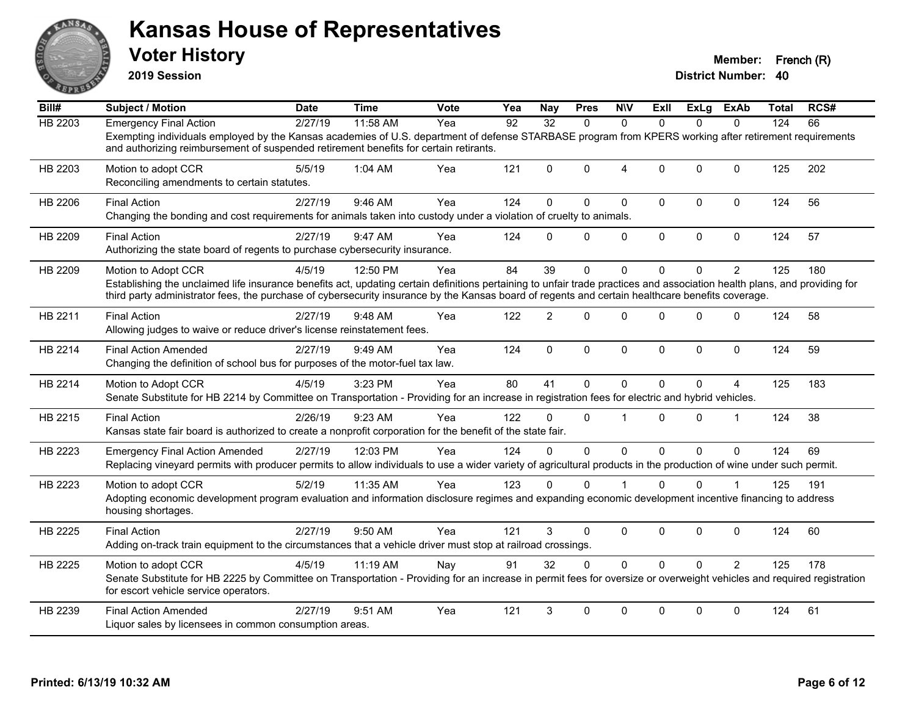

**2019 Session**

| Bill#   | <b>Subject / Motion</b>                                                                                                                                                                                                                                                                                                                              | <b>Date</b> | <b>Time</b> | <b>Vote</b> | Yea | <b>Nay</b>      | <b>Pres</b> | <b>NIV</b>     | ExII         | ExLg         | ExAb           | Total | RCS# |
|---------|------------------------------------------------------------------------------------------------------------------------------------------------------------------------------------------------------------------------------------------------------------------------------------------------------------------------------------------------------|-------------|-------------|-------------|-----|-----------------|-------------|----------------|--------------|--------------|----------------|-------|------|
| HB 2203 | <b>Emergency Final Action</b>                                                                                                                                                                                                                                                                                                                        | 2/27/19     | 11:58 AM    | Yea         | 92  | $\overline{32}$ | $\Omega$    | $\Omega$       | $\Omega$     | $\Omega$     | $\Omega$       | 124   | 66   |
|         | Exempting individuals employed by the Kansas academies of U.S. department of defense STARBASE program from KPERS working after retirement requirements<br>and authorizing reimbursement of suspended retirement benefits for certain retirants.                                                                                                      |             |             |             |     |                 |             |                |              |              |                |       |      |
| HB 2203 | Motion to adopt CCR<br>Reconciling amendments to certain statutes.                                                                                                                                                                                                                                                                                   | 5/5/19      | 1:04 AM     | Yea         | 121 | $\Omega$        | $\Omega$    | $\overline{4}$ | $\Omega$     | $\Omega$     | $\Omega$       | 125   | 202  |
| HB 2206 | <b>Final Action</b><br>Changing the bonding and cost requirements for animals taken into custody under a violation of cruelty to animals.                                                                                                                                                                                                            | 2/27/19     | 9:46 AM     | Yea         | 124 | $\Omega$        | $\Omega$    | $\mathbf 0$    | $\mathbf{0}$ | $\Omega$     | $\mathbf 0$    | 124   | 56   |
| HB 2209 | <b>Final Action</b><br>Authorizing the state board of regents to purchase cybersecurity insurance.                                                                                                                                                                                                                                                   | 2/27/19     | 9:47 AM     | Yea         | 124 | $\Omega$        | $\Omega$    | $\mathbf 0$    | $\mathbf 0$  | $\mathbf 0$  | $\mathbf 0$    | 124   | 57   |
| HB 2209 | Motion to Adopt CCR<br>Establishing the unclaimed life insurance benefits act, updating certain definitions pertaining to unfair trade practices and association health plans, and providing for<br>third party administrator fees, the purchase of cybersecurity insurance by the Kansas board of regents and certain healthcare benefits coverage. | 4/5/19      | 12:50 PM    | Yea         | 84  | 39              | $\Omega$    | $\mathbf{0}$   | $\Omega$     | $\Omega$     | $\overline{2}$ | 125   | 180  |
| HB 2211 | <b>Final Action</b><br>Allowing judges to waive or reduce driver's license reinstatement fees.                                                                                                                                                                                                                                                       | 2/27/19     | 9:48 AM     | Yea         | 122 | $\overline{2}$  | $\Omega$    | $\mathbf{0}$   | $\Omega$     | $\Omega$     | $\Omega$       | 124   | 58   |
| HB 2214 | <b>Final Action Amended</b><br>Changing the definition of school bus for purposes of the motor-fuel tax law.                                                                                                                                                                                                                                         | 2/27/19     | 9:49 AM     | Yea         | 124 | $\mathbf{0}$    | $\Omega$    | $\mathbf{0}$   | $\mathbf{0}$ | $\mathbf{0}$ | 0              | 124   | 59   |
| HB 2214 | Motion to Adopt CCR<br>Senate Substitute for HB 2214 by Committee on Transportation - Providing for an increase in registration fees for electric and hybrid vehicles.                                                                                                                                                                               | 4/5/19      | 3:23 PM     | Yea         | 80  | 41              | $\Omega$    | $\mathbf{0}$   | $\mathbf{0}$ | $\Omega$     | 4              | 125   | 183  |
| HB 2215 | <b>Final Action</b><br>Kansas state fair board is authorized to create a nonprofit corporation for the benefit of the state fair.                                                                                                                                                                                                                    | 2/26/19     | 9:23 AM     | Yea         | 122 | $\Omega$        | $\Omega$    | $\overline{1}$ | $\Omega$     | $\Omega$     | $\overline{1}$ | 124   | 38   |
| HB 2223 | <b>Emergency Final Action Amended</b><br>Replacing vineyard permits with producer permits to allow individuals to use a wider variety of agricultural products in the production of wine under such permit.                                                                                                                                          | 2/27/19     | 12:03 PM    | Yea         | 124 | $\Omega$        | $\Omega$    | $\mathbf 0$    | $\Omega$     | $\Omega$     | $\Omega$       | 124   | 69   |
| HB 2223 | Motion to adopt CCR<br>Adopting economic development program evaluation and information disclosure regimes and expanding economic development incentive financing to address<br>housing shortages.                                                                                                                                                   | 5/2/19      | 11:35 AM    | Yea         | 123 | $\Omega$        | $\Omega$    |                | $\Omega$     | $\Omega$     |                | 125   | 191  |
| HB 2225 | <b>Final Action</b><br>Adding on-track train equipment to the circumstances that a vehicle driver must stop at railroad crossings.                                                                                                                                                                                                                   | 2/27/19     | 9:50 AM     | Yea         | 121 | 3               | $\Omega$    | $\mathbf 0$    | $\Omega$     | $\Omega$     | 0              | 124   | 60   |
| HB 2225 | Motion to adopt CCR<br>Senate Substitute for HB 2225 by Committee on Transportation - Providing for an increase in permit fees for oversize or overweight vehicles and required registration<br>for escort vehicle service operators.                                                                                                                | 4/5/19      | 11:19 AM    | Nay         | 91  | 32              | $\Omega$    | $\Omega$       | $\Omega$     | $\Omega$     | $\overline{2}$ | 125   | 178  |
| HB 2239 | <b>Final Action Amended</b><br>Liquor sales by licensees in common consumption areas.                                                                                                                                                                                                                                                                | 2/27/19     | 9:51 AM     | Yea         | 121 | 3               | $\Omega$    | $\mathbf{0}$   | $\Omega$     | $\Omega$     | $\Omega$       | 124   | 61   |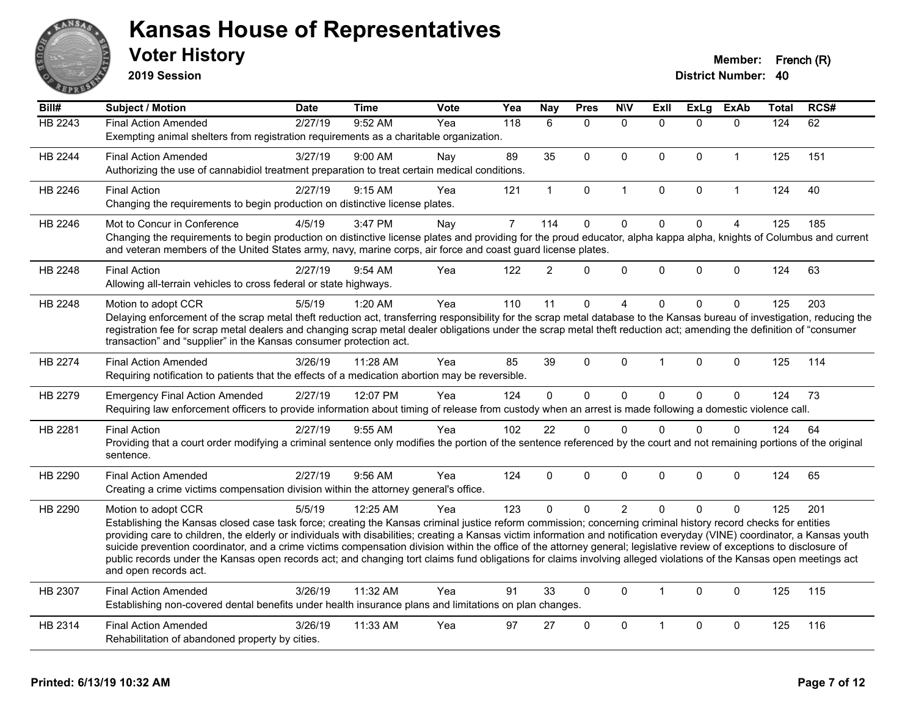

**2019 Session**

| Bill#          | Subject / Motion                                                                                                                                                            | <b>Date</b> | <b>Time</b> | Vote | Yea            | <b>Nay</b>     | <b>Pres</b>  | <b>NIV</b>     | <b>Exll</b>          | <b>ExLg</b>  | <b>ExAb</b>    | <b>Total</b> | RCS# |
|----------------|-----------------------------------------------------------------------------------------------------------------------------------------------------------------------------|-------------|-------------|------|----------------|----------------|--------------|----------------|----------------------|--------------|----------------|--------------|------|
| <b>HB 2243</b> | <b>Final Action Amended</b>                                                                                                                                                 | 2/27/19     | 9:52 AM     | Yea  | 118            | 6              | $\Omega$     | $\mathbf{0}$   | $\Omega$             | $\Omega$     | $\mathbf{0}$   | 124          | 62   |
|                | Exempting animal shelters from registration requirements as a charitable organization.                                                                                      |             |             |      |                |                |              |                |                      |              |                |              |      |
| HB 2244        | <b>Final Action Amended</b>                                                                                                                                                 | 3/27/19     | 9:00 AM     | Nay  | 89             | 35             | $\mathbf 0$  | 0              | $\mathbf 0$          | $\mathbf 0$  | $\mathbf{1}$   | 125          | 151  |
|                | Authorizing the use of cannabidiol treatment preparation to treat certain medical conditions.                                                                               |             |             |      |                |                |              |                |                      |              |                |              |      |
| HB 2246        | <b>Final Action</b>                                                                                                                                                         | 2/27/19     | 9:15 AM     | Yea  | 121            | $\mathbf{1}$   | $\mathbf 0$  | 1              | $\Omega$             | $\pmb{0}$    | $\overline{1}$ | 124          | 40   |
|                | Changing the requirements to begin production on distinctive license plates.                                                                                                |             |             |      |                |                |              |                |                      |              |                |              |      |
| HB 2246        | Mot to Concur in Conference                                                                                                                                                 | 4/5/19      | 3:47 PM     | Nay  | $\overline{7}$ | 114            | $\mathbf 0$  | $\mathbf 0$    | $\overline{0}$       | $\mathbf 0$  | $\overline{4}$ | 125          | 185  |
|                | Changing the requirements to begin production on distinctive license plates and providing for the proud educator, alpha kappa alpha, knights of Columbus and current        |             |             |      |                |                |              |                |                      |              |                |              |      |
|                | and veteran members of the United States army, navy, marine corps, air force and coast guard license plates.                                                                |             |             |      |                |                |              |                |                      |              |                |              |      |
| HB 2248        | <b>Final Action</b>                                                                                                                                                         | 2/27/19     | 9:54 AM     | Yea  | 122            | $\overline{2}$ | $\mathbf{0}$ | 0              | $\Omega$             | $\mathbf 0$  | 0              | 124          | 63   |
|                | Allowing all-terrain vehicles to cross federal or state highways.                                                                                                           |             |             |      |                |                |              |                |                      |              |                |              |      |
| HB 2248        | Motion to adopt CCR                                                                                                                                                         | 5/5/19      | $1:20$ AM   | Yea  | 110            | 11             | $\mathbf 0$  | 4              | $\Omega$             | $\mathbf{0}$ | $\Omega$       | 125          | 203  |
|                | Delaying enforcement of the scrap metal theft reduction act, transferring responsibility for the scrap metal database to the Kansas bureau of investigation, reducing the   |             |             |      |                |                |              |                |                      |              |                |              |      |
|                | registration fee for scrap metal dealers and changing scrap metal dealer obligations under the scrap metal theft reduction act; amending the definition of "consumer        |             |             |      |                |                |              |                |                      |              |                |              |      |
|                | transaction" and "supplier" in the Kansas consumer protection act.                                                                                                          |             |             |      |                |                |              |                |                      |              |                |              |      |
| HB 2274        | <b>Final Action Amended</b>                                                                                                                                                 | 3/26/19     | 11:28 AM    | Yea  | 85             | 39             | $\mathbf{0}$ | $\Omega$       | $\blacktriangleleft$ | $\mathbf{0}$ | $\Omega$       | 125          | 114  |
|                | Requiring notification to patients that the effects of a medication abortion may be reversible.                                                                             |             |             |      |                |                |              |                |                      |              |                |              |      |
| HB 2279        | <b>Emergency Final Action Amended</b>                                                                                                                                       | 2/27/19     | 12:07 PM    | Yea  | 124            | $\overline{0}$ | $\mathbf 0$  | $\mathbf 0$    | $\Omega$             | $\pmb{0}$    | $\mathbf 0$    | 124          | 73   |
|                | Requiring law enforcement officers to provide information about timing of release from custody when an arrest is made following a domestic violence call.                   |             |             |      |                |                |              |                |                      |              |                |              |      |
| HB 2281        | <b>Final Action</b>                                                                                                                                                         | 2/27/19     | 9:55 AM     | Yea  | 102            | 22             | $\Omega$     | $\Omega$       | $\Omega$             | $\mathbf{0}$ | $\Omega$       | 124          | 64   |
|                | Providing that a court order modifying a criminal sentence only modifies the portion of the sentence referenced by the court and not remaining portions of the original     |             |             |      |                |                |              |                |                      |              |                |              |      |
|                | sentence.                                                                                                                                                                   |             |             |      |                |                |              |                |                      |              |                |              |      |
| HB 2290        | <b>Final Action Amended</b>                                                                                                                                                 | 2/27/19     | 9:56 AM     | Yea  | 124            | $\Omega$       | $\Omega$     | $\Omega$       | $\Omega$             | $\mathbf{0}$ | $\Omega$       | 124          | 65   |
|                | Creating a crime victims compensation division within the attorney general's office.                                                                                        |             |             |      |                |                |              |                |                      |              |                |              |      |
| HB 2290        | Motion to adopt CCR                                                                                                                                                         | 5/5/19      | 12:25 AM    | Yea  | 123            | $\Omega$       | $\mathbf{0}$ | $\overline{2}$ | $\Omega$             | $\Omega$     | $\Omega$       | 125          | 201  |
|                | Establishing the Kansas closed case task force; creating the Kansas criminal justice reform commission; concerning criminal history record checks for entities              |             |             |      |                |                |              |                |                      |              |                |              |      |
|                | providing care to children, the elderly or individuals with disabilities; creating a Kansas victim information and notification everyday (VINE) coordinator, a Kansas youth |             |             |      |                |                |              |                |                      |              |                |              |      |
|                | suicide prevention coordinator, and a crime victims compensation division within the office of the attorney general; legislative review of exceptions to disclosure of      |             |             |      |                |                |              |                |                      |              |                |              |      |
|                | public records under the Kansas open records act; and changing tort claims fund obligations for claims involving alleged violations of the Kansas open meetings act         |             |             |      |                |                |              |                |                      |              |                |              |      |
|                | and open records act.                                                                                                                                                       |             |             |      |                |                |              |                |                      |              |                |              |      |
| HB 2307        | <b>Final Action Amended</b>                                                                                                                                                 | 3/26/19     | 11:32 AM    | Yea  | 91             | 33             | $\mathbf{0}$ | $\Omega$       | 1                    | $\mathbf{0}$ | $\Omega$       | 125          | 115  |
|                | Establishing non-covered dental benefits under health insurance plans and limitations on plan changes.                                                                      |             |             |      |                |                |              |                |                      |              |                |              |      |
| HB 2314        | <b>Final Action Amended</b>                                                                                                                                                 | 3/26/19     | 11:33 AM    | Yea  | 97             | 27             | $\mathbf{0}$ | $\mathbf{0}$   | $\blacktriangleleft$ | $\mathbf{0}$ | $\mathbf{0}$   | 125          | 116  |
|                | Rehabilitation of abandoned property by cities.                                                                                                                             |             |             |      |                |                |              |                |                      |              |                |              |      |
|                |                                                                                                                                                                             |             |             |      |                |                |              |                |                      |              |                |              |      |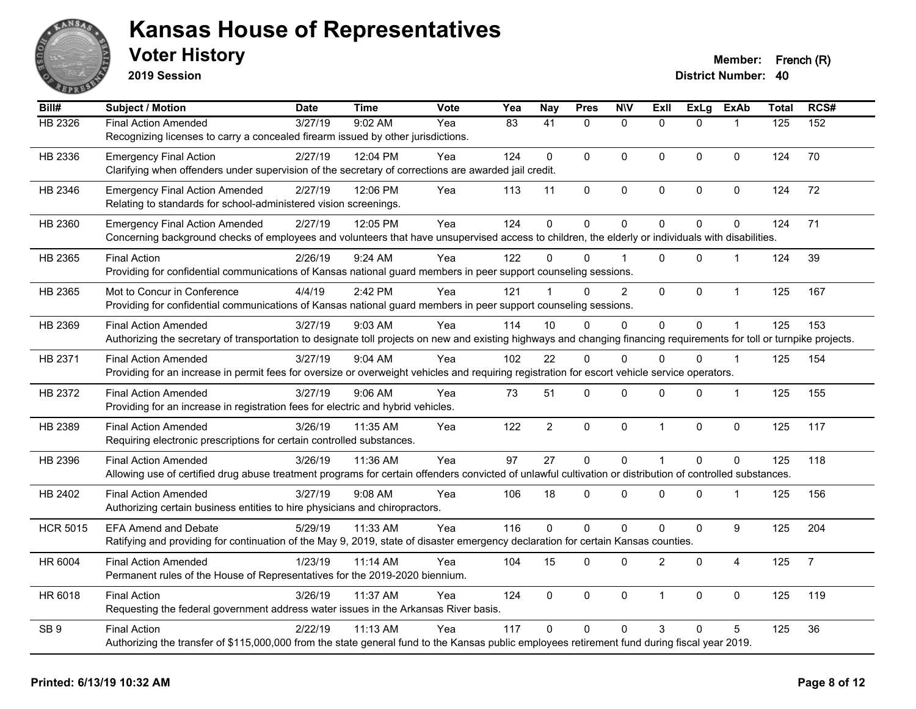

**2019 Session**

| Bill#           | Subject / Motion                                                                                                                                                       | <b>Date</b> | <b>Time</b> | Vote | Yea | <b>Nay</b>      | <b>Pres</b>  | <b>NIV</b>     | <b>Exll</b>    | <b>ExLg</b> | <b>ExAb</b>    | <b>Total</b> | RCS#           |
|-----------------|------------------------------------------------------------------------------------------------------------------------------------------------------------------------|-------------|-------------|------|-----|-----------------|--------------|----------------|----------------|-------------|----------------|--------------|----------------|
| HB 2326         | <b>Final Action Amended</b>                                                                                                                                            | 3/27/19     | 9:02 AM     | Yea  | 83  | $\overline{41}$ | $\mathbf{0}$ | $\mathbf{0}$   | $\Omega$       | $\Omega$    | $\mathbf{1}$   | 125          | 152            |
|                 | Recognizing licenses to carry a concealed firearm issued by other jurisdictions.                                                                                       |             |             |      |     |                 |              |                |                |             |                |              |                |
| HB 2336         | <b>Emergency Final Action</b>                                                                                                                                          | 2/27/19     | 12:04 PM    | Yea  | 124 | 0               | $\Omega$     | $\mathbf{0}$   | 0              | $\Omega$    | $\mathbf 0$    | 124          | 70             |
|                 | Clarifying when offenders under supervision of the secretary of corrections are awarded jail credit.                                                                   |             |             |      |     |                 |              |                |                |             |                |              |                |
| HB 2346         | <b>Emergency Final Action Amended</b>                                                                                                                                  | 2/27/19     | 12:06 PM    | Yea  | 113 | 11              | 0            | $\pmb{0}$      | 0              | 0           | $\pmb{0}$      | 124          | 72             |
|                 | Relating to standards for school-administered vision screenings.                                                                                                       |             |             |      |     |                 |              |                |                |             |                |              |                |
| HB 2360         | <b>Emergency Final Action Amended</b>                                                                                                                                  | 2/27/19     | 12:05 PM    | Yea  | 124 | $\mathbf 0$     | $\mathbf 0$  | $\mathbf 0$    | $\overline{0}$ | 0           | $\mathbf 0$    | 124          | 71             |
|                 | Concerning background checks of employees and volunteers that have unsupervised access to children, the elderly or individuals with disabilities.                      |             |             |      |     |                 |              |                |                |             |                |              |                |
| HB 2365         | <b>Final Action</b>                                                                                                                                                    | 2/26/19     | 9:24 AM     | Yea  | 122 | <sup>0</sup>    | $\Omega$     |                | $\Omega$       | 0           |                | 124          | 39             |
|                 | Providing for confidential communications of Kansas national guard members in peer support counseling sessions.                                                        |             |             |      |     |                 |              |                |                |             |                |              |                |
| HB 2365         | Mot to Concur in Conference                                                                                                                                            | 4/4/19      | 2:42 PM     | Yea  | 121 |                 | $\Omega$     | $\overline{2}$ | 0              | 0           | $\mathbf{1}$   | 125          | 167            |
|                 | Providing for confidential communications of Kansas national guard members in peer support counseling sessions.                                                        |             |             |      |     |                 |              |                |                |             |                |              |                |
| HB 2369         | <b>Final Action Amended</b>                                                                                                                                            | 3/27/19     | 9:03 AM     | Yea  | 114 | 10              | $\Omega$     | $\Omega$       | $\overline{0}$ | 0           | $\mathbf{1}$   | 125          | 153            |
|                 | Authorizing the secretary of transportation to designate toll projects on new and existing highways and changing financing requirements for toll or turnpike projects. |             |             |      |     |                 |              |                |                |             |                |              |                |
| HB 2371         | <b>Final Action Amended</b>                                                                                                                                            | 3/27/19     | 9:04 AM     | Yea  | 102 | 22              | $\Omega$     | $\Omega$       | $\Omega$       | $\Omega$    | $\mathbf{1}$   | 125          | 154            |
|                 | Providing for an increase in permit fees for oversize or overweight vehicles and requiring registration for escort vehicle service operators.                          |             |             |      |     |                 |              |                |                |             |                |              |                |
| HB 2372         | <b>Final Action Amended</b>                                                                                                                                            | 3/27/19     | 9:06 AM     | Yea  | 73  | 51              | 0            | $\mathbf 0$    | $\Omega$       | 0           | $\mathbf{1}$   | 125          | 155            |
|                 | Providing for an increase in registration fees for electric and hybrid vehicles.                                                                                       |             |             |      |     |                 |              |                |                |             |                |              |                |
| HB 2389         | <b>Final Action Amended</b>                                                                                                                                            | 3/26/19     | 11:35 AM    | Yea  | 122 | $\overline{c}$  | 0            | $\mathbf 0$    | $\mathbf{1}$   | 0           | $\mathbf 0$    | 125          | 117            |
|                 | Requiring electronic prescriptions for certain controlled substances.                                                                                                  |             |             |      |     |                 |              |                |                |             |                |              |                |
| HB 2396         | <b>Final Action Amended</b>                                                                                                                                            | 3/26/19     | 11:36 AM    | Yea  | 97  | 27              | $\mathbf{0}$ | $\mathbf 0$    | $\mathbf{1}$   | $\Omega$    | $\Omega$       | 125          | 118            |
|                 | Allowing use of certified drug abuse treatment programs for certain offenders convicted of unlawful cultivation or distribution of controlled substances.              |             |             |      |     |                 |              |                |                |             |                |              |                |
| HB 2402         | <b>Final Action Amended</b>                                                                                                                                            | 3/27/19     | $9:08$ AM   | Yea  | 106 | 18              | $\Omega$     | $\mathbf{0}$   | $\Omega$       | $\Omega$    | 1              | 125          | 156            |
|                 | Authorizing certain business entities to hire physicians and chiropractors.                                                                                            |             |             |      |     |                 |              |                |                |             |                |              |                |
| <b>HCR 5015</b> | <b>EFA Amend and Debate</b>                                                                                                                                            | 5/29/19     | 11:33 AM    | Yea  | 116 | 0               | $\mathbf 0$  | $\mathbf 0$    | 0              | $\pmb{0}$   | 9              | 125          | 204            |
|                 | Ratifying and providing for continuation of the May 9, 2019, state of disaster emergency declaration for certain Kansas counties.                                      |             |             |      |     |                 |              |                |                |             |                |              |                |
| HR 6004         | <b>Final Action Amended</b>                                                                                                                                            | 1/23/19     | 11:14 AM    | Yea  | 104 | 15              | 0            | $\mathbf 0$    | $\overline{2}$ | 0           | $\overline{4}$ | 125          | $\overline{7}$ |
|                 | Permanent rules of the House of Representatives for the 2019-2020 biennium.                                                                                            |             |             |      |     |                 |              |                |                |             |                |              |                |
| HR 6018         | <b>Final Action</b>                                                                                                                                                    | 3/26/19     | 11:37 AM    | Yea  | 124 | $\Omega$        | $\Omega$     | $\mathbf 0$    | $\mathbf{1}$   | $\Omega$    | $\mathbf 0$    | 125          | 119            |
|                 | Requesting the federal government address water issues in the Arkansas River basis.                                                                                    |             |             |      |     |                 |              |                |                |             |                |              |                |
| SB <sub>9</sub> | <b>Final Action</b>                                                                                                                                                    | 2/22/19     | 11:13 AM    | Yea  | 117 | $\Omega$        | $\Omega$     | $\Omega$       | 3              | $\Omega$    | $\overline{5}$ | 125          | 36             |
|                 | Authorizing the transfer of \$115,000,000 from the state general fund to the Kansas public employees retirement fund during fiscal year 2019.                          |             |             |      |     |                 |              |                |                |             |                |              |                |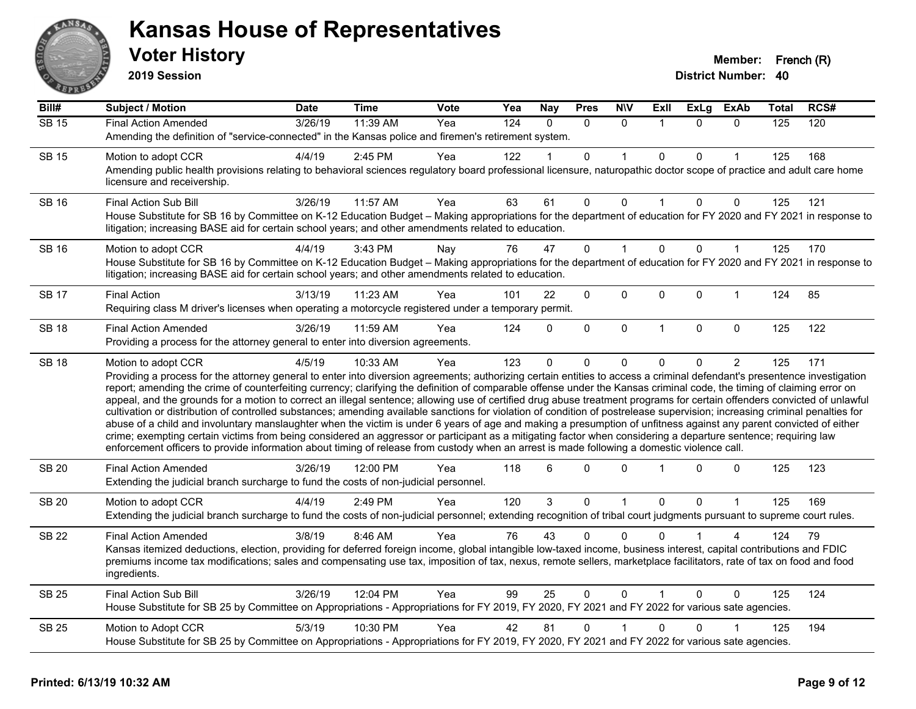

**2019 Session**

| Bill#        | <b>Subject / Motion</b>                                                                                                                                                                                                                                                                                                                                                                                                                                                                                                                                                                                                                                                                                                                                                                                                                                                                                                                                                                                                                                                                                                                                                                              | Date    | <b>Time</b> | Vote | Yea              | <b>Nay</b> | <b>Pres</b> | <b>N\V</b>   | ExII           | <b>ExLg</b> | <b>ExAb</b>  | Total | RCS# |
|--------------|------------------------------------------------------------------------------------------------------------------------------------------------------------------------------------------------------------------------------------------------------------------------------------------------------------------------------------------------------------------------------------------------------------------------------------------------------------------------------------------------------------------------------------------------------------------------------------------------------------------------------------------------------------------------------------------------------------------------------------------------------------------------------------------------------------------------------------------------------------------------------------------------------------------------------------------------------------------------------------------------------------------------------------------------------------------------------------------------------------------------------------------------------------------------------------------------------|---------|-------------|------|------------------|------------|-------------|--------------|----------------|-------------|--------------|-------|------|
| <b>SB 15</b> | <b>Final Action Amended</b>                                                                                                                                                                                                                                                                                                                                                                                                                                                                                                                                                                                                                                                                                                                                                                                                                                                                                                                                                                                                                                                                                                                                                                          | 3/26/19 | 11:39 AM    | Yea  | $\overline{124}$ | $\Omega$   | $\Omega$    | $\Omega$     |                | $\Omega$    | $\Omega$     | 125   | 120  |
|              | Amending the definition of "service-connected" in the Kansas police and firemen's retirement system.                                                                                                                                                                                                                                                                                                                                                                                                                                                                                                                                                                                                                                                                                                                                                                                                                                                                                                                                                                                                                                                                                                 |         |             |      |                  |            |             |              |                |             |              |       |      |
| <b>SB 15</b> | Motion to adopt CCR                                                                                                                                                                                                                                                                                                                                                                                                                                                                                                                                                                                                                                                                                                                                                                                                                                                                                                                                                                                                                                                                                                                                                                                  | 4/4/19  | $2:45$ PM   | Yea  | 122              |            | 0           |              | $\mathbf{0}$   | $\Omega$    |              | 125   | 168  |
|              | Amending public health provisions relating to behavioral sciences regulatory board professional licensure, naturopathic doctor scope of practice and adult care home<br>licensure and receivership.                                                                                                                                                                                                                                                                                                                                                                                                                                                                                                                                                                                                                                                                                                                                                                                                                                                                                                                                                                                                  |         |             |      |                  |            |             |              |                |             |              |       |      |
| <b>SB 16</b> | Final Action Sub Bill                                                                                                                                                                                                                                                                                                                                                                                                                                                                                                                                                                                                                                                                                                                                                                                                                                                                                                                                                                                                                                                                                                                                                                                | 3/26/19 | 11:57 AM    | Yea  | 63               | 61         | 0           | $\Omega$     |                | $\Omega$    | 0            | 125   | 121  |
|              | House Substitute for SB 16 by Committee on K-12 Education Budget - Making appropriations for the department of education for FY 2020 and FY 2021 in response to<br>litigation; increasing BASE aid for certain school years; and other amendments related to education.                                                                                                                                                                                                                                                                                                                                                                                                                                                                                                                                                                                                                                                                                                                                                                                                                                                                                                                              |         |             |      |                  |            |             |              |                |             |              |       |      |
| SB 16        | Motion to adopt CCR                                                                                                                                                                                                                                                                                                                                                                                                                                                                                                                                                                                                                                                                                                                                                                                                                                                                                                                                                                                                                                                                                                                                                                                  | 4/4/19  | 3:43 PM     | Nay  | 76               | 47         | $\Omega$    |              | $\Omega$       | $\Omega$    | 1            | 125   | 170  |
|              | House Substitute for SB 16 by Committee on K-12 Education Budget - Making appropriations for the department of education for FY 2020 and FY 2021 in response to<br>litigation; increasing BASE aid for certain school years; and other amendments related to education.                                                                                                                                                                                                                                                                                                                                                                                                                                                                                                                                                                                                                                                                                                                                                                                                                                                                                                                              |         |             |      |                  |            |             |              |                |             |              |       |      |
| <b>SB 17</b> | <b>Final Action</b>                                                                                                                                                                                                                                                                                                                                                                                                                                                                                                                                                                                                                                                                                                                                                                                                                                                                                                                                                                                                                                                                                                                                                                                  | 3/13/19 | 11:23 AM    | Yea  | 101              | 22         | 0           | 0            | $\mathbf 0$    | $\Omega$    | $\mathbf{1}$ | 124   | 85   |
|              | Requiring class M driver's licenses when operating a motorcycle registered under a temporary permit.                                                                                                                                                                                                                                                                                                                                                                                                                                                                                                                                                                                                                                                                                                                                                                                                                                                                                                                                                                                                                                                                                                 |         |             |      |                  |            |             |              |                |             |              |       |      |
| <b>SB 18</b> | <b>Final Action Amended</b>                                                                                                                                                                                                                                                                                                                                                                                                                                                                                                                                                                                                                                                                                                                                                                                                                                                                                                                                                                                                                                                                                                                                                                          | 3/26/19 | 11:59 AM    | Yea  | 124              | $\Omega$   | 0           | $\mathbf 0$  | $\overline{1}$ | $\Omega$    | $\mathbf 0$  | 125   | 122  |
|              | Providing a process for the attorney general to enter into diversion agreements.                                                                                                                                                                                                                                                                                                                                                                                                                                                                                                                                                                                                                                                                                                                                                                                                                                                                                                                                                                                                                                                                                                                     |         |             |      |                  |            |             |              |                |             |              |       |      |
| <b>SB 18</b> | Motion to adopt CCR                                                                                                                                                                                                                                                                                                                                                                                                                                                                                                                                                                                                                                                                                                                                                                                                                                                                                                                                                                                                                                                                                                                                                                                  | 4/5/19  | 10:33 AM    | Yea  | 123              | $\Omega$   | 0           | $\mathbf 0$  | $\mathbf{0}$   | $\Omega$    | 2            | 125   | 171  |
|              | Providing a process for the attorney general to enter into diversion agreements; authorizing certain entities to access a criminal defendant's presentence investigation<br>report; amending the crime of counterfeiting currency; clarifying the definition of comparable offense under the Kansas criminal code, the timing of claiming error on<br>appeal, and the grounds for a motion to correct an illegal sentence; allowing use of certified drug abuse treatment programs for certain offenders convicted of unlawful<br>cultivation or distribution of controlled substances; amending available sanctions for violation of condition of postrelease supervision; increasing criminal penalties for<br>abuse of a child and involuntary manslaughter when the victim is under 6 years of age and making a presumption of unfitness against any parent convicted of either<br>crime; exempting certain victims from being considered an aggressor or participant as a mitigating factor when considering a departure sentence; requiring law<br>enforcement officers to provide information about timing of release from custody when an arrest is made following a domestic violence call. |         |             |      |                  |            |             |              |                |             |              |       |      |
| <b>SB 20</b> | <b>Final Action Amended</b><br>Extending the judicial branch surcharge to fund the costs of non-judicial personnel.                                                                                                                                                                                                                                                                                                                                                                                                                                                                                                                                                                                                                                                                                                                                                                                                                                                                                                                                                                                                                                                                                  | 3/26/19 | 12:00 PM    | Yea  | 118              | 6          | 0           | $\Omega$     |                | $\Omega$    | 0            | 125   | 123  |
| <b>SB 20</b> | Motion to adopt CCR                                                                                                                                                                                                                                                                                                                                                                                                                                                                                                                                                                                                                                                                                                                                                                                                                                                                                                                                                                                                                                                                                                                                                                                  | 4/4/19  | 2:49 PM     | Yea  | 120              | 3          | 0           | 1            | $\Omega$       | $\Omega$    | 1            | 125   | 169  |
|              | Extending the judicial branch surcharge to fund the costs of non-judicial personnel; extending recognition of tribal court judgments pursuant to supreme court rules.                                                                                                                                                                                                                                                                                                                                                                                                                                                                                                                                                                                                                                                                                                                                                                                                                                                                                                                                                                                                                                |         |             |      |                  |            |             |              |                |             |              |       |      |
| SB 22        | <b>Final Action Amended</b>                                                                                                                                                                                                                                                                                                                                                                                                                                                                                                                                                                                                                                                                                                                                                                                                                                                                                                                                                                                                                                                                                                                                                                          | 3/8/19  | 8:46 AM     | Yea  | 76               | 43         | 0           | $\Omega$     | $\Omega$       |             | 4            | 124   | 79   |
|              | Kansas itemized deductions, election, providing for deferred foreign income, global intangible low-taxed income, business interest, capital contributions and FDIC<br>premiums income tax modifications; sales and compensating use tax, imposition of tax, nexus, remote sellers, marketplace facilitators, rate of tax on food and food<br>ingredients.                                                                                                                                                                                                                                                                                                                                                                                                                                                                                                                                                                                                                                                                                                                                                                                                                                            |         |             |      |                  |            |             |              |                |             |              |       |      |
| <b>SB 25</b> | Final Action Sub Bill                                                                                                                                                                                                                                                                                                                                                                                                                                                                                                                                                                                                                                                                                                                                                                                                                                                                                                                                                                                                                                                                                                                                                                                | 3/26/19 | 12:04 PM    | Yea  | 99               | 25         | $\Omega$    | $\mathbf{0}$ |                | $\Omega$    | $\Omega$     | 125   | 124  |
|              | House Substitute for SB 25 by Committee on Appropriations - Appropriations for FY 2019, FY 2020, FY 2021 and FY 2022 for various sate agencies.                                                                                                                                                                                                                                                                                                                                                                                                                                                                                                                                                                                                                                                                                                                                                                                                                                                                                                                                                                                                                                                      |         |             |      |                  |            |             |              |                |             |              |       |      |
| <b>SB 25</b> | Motion to Adopt CCR                                                                                                                                                                                                                                                                                                                                                                                                                                                                                                                                                                                                                                                                                                                                                                                                                                                                                                                                                                                                                                                                                                                                                                                  | 5/3/19  | 10:30 PM    | Yea  | 42               | 81         | 0           |              | $\mathbf{0}$   | $\Omega$    |              | 125   | 194  |
|              | House Substitute for SB 25 by Committee on Appropriations - Appropriations for FY 2019, FY 2020, FY 2021 and FY 2022 for various sate agencies.                                                                                                                                                                                                                                                                                                                                                                                                                                                                                                                                                                                                                                                                                                                                                                                                                                                                                                                                                                                                                                                      |         |             |      |                  |            |             |              |                |             |              |       |      |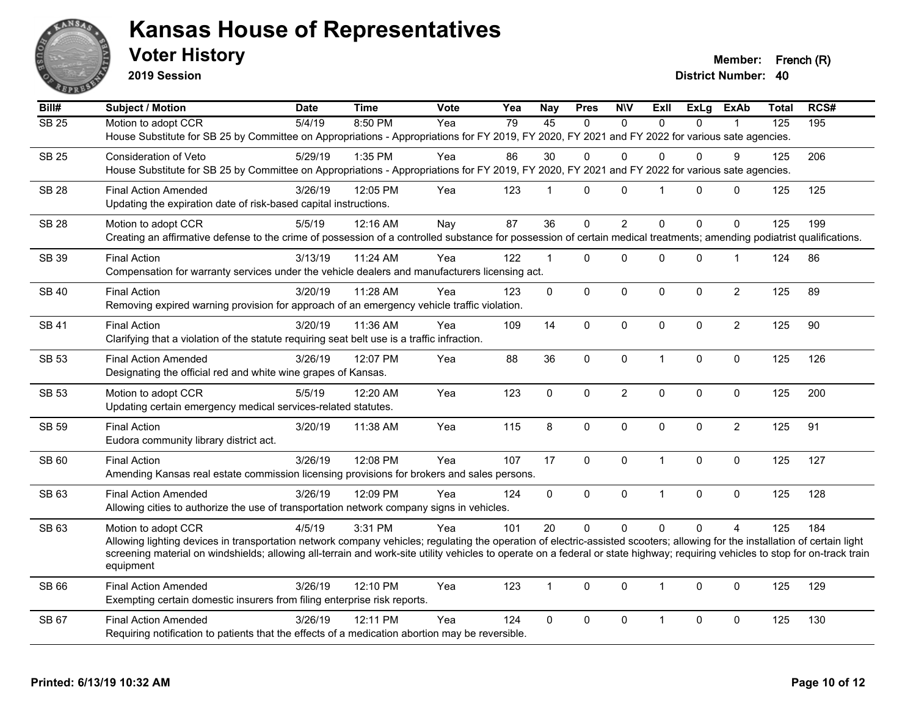

**2019 Session**

**Voter History Member: French (R)** 

| Bill#        | <b>Subject / Motion</b>                                                                                                                                                        | <b>Date</b> | <b>Time</b> | <b>Vote</b> | Yea             | <b>Nay</b>      | <b>Pres</b>  | <b>NIV</b>     | ExII           | <b>ExLg</b> | <b>ExAb</b>    | Total | RCS# |
|--------------|--------------------------------------------------------------------------------------------------------------------------------------------------------------------------------|-------------|-------------|-------------|-----------------|-----------------|--------------|----------------|----------------|-------------|----------------|-------|------|
| <b>SB 25</b> | Motion to adopt CCR                                                                                                                                                            | 5/4/19      | 8:50 PM     | Yea         | $\overline{79}$ | $\overline{45}$ | $\Omega$     | $\Omega$       | $\Omega$       | $\Omega$    |                | 125   | 195  |
|              | House Substitute for SB 25 by Committee on Appropriations - Appropriations for FY 2019, FY 2020, FY 2021 and FY 2022 for various sate agencies.                                |             |             |             |                 |                 |              |                |                |             |                |       |      |
| <b>SB 25</b> | Consideration of Veto                                                                                                                                                          | 5/29/19     | 1:35 PM     | Yea         | 86              | 30              | $\Omega$     | $\Omega$       | $\Omega$       | 0           | 9              | 125   | 206  |
|              | House Substitute for SB 25 by Committee on Appropriations - Appropriations for FY 2019, FY 2020, FY 2021 and FY 2022 for various sate agencies.                                |             |             |             |                 |                 |              |                |                |             |                |       |      |
| <b>SB 28</b> | <b>Final Action Amended</b>                                                                                                                                                    | 3/26/19     | 12:05 PM    | Yea         | 123             | $\mathbf{1}$    | $\mathbf 0$  | $\mathbf 0$    | $\mathbf{1}$   | $\Omega$    | $\mathbf 0$    | 125   | 125  |
|              | Updating the expiration date of risk-based capital instructions.                                                                                                               |             |             |             |                 |                 |              |                |                |             |                |       |      |
| <b>SB 28</b> | Motion to adopt CCR                                                                                                                                                            | 5/5/19      | 12:16 AM    | Nay         | 87              | 36              | $\mathbf 0$  | $\overline{2}$ | $\Omega$       | $\mathbf 0$ | $\Omega$       | 125   | 199  |
|              | Creating an affirmative defense to the crime of possession of a controlled substance for possession of certain medical treatments; amending podiatrist qualifications.         |             |             |             |                 |                 |              |                |                |             |                |       |      |
|              |                                                                                                                                                                                |             |             |             |                 |                 |              |                |                |             |                |       |      |
| <b>SB 39</b> | <b>Final Action</b><br>Compensation for warranty services under the vehicle dealers and manufacturers licensing act.                                                           | 3/13/19     | $11:24$ AM  | Yea         | 122             | $\mathbf 1$     | $\Omega$     | $\mathbf 0$    | $\Omega$       | 0           | $\mathbf 1$    | 124   | 86   |
|              |                                                                                                                                                                                |             |             |             |                 |                 |              |                |                |             |                |       |      |
| <b>SB 40</b> | <b>Final Action</b>                                                                                                                                                            | 3/20/19     | 11:28 AM    | Yea         | 123             | $\mathbf 0$     | $\mathbf 0$  | $\mathbf 0$    | $\mathbf{0}$   | 0           | $\overline{2}$ | 125   | 89   |
|              | Removing expired warning provision for approach of an emergency vehicle traffic violation.                                                                                     |             |             |             |                 |                 |              |                |                |             |                |       |      |
| <b>SB 41</b> | <b>Final Action</b>                                                                                                                                                            | 3/20/19     | 11:36 AM    | Yea         | 109             | 14              | $\mathbf{0}$ | $\mathbf 0$    | $\Omega$       | $\Omega$    | $\overline{2}$ | 125   | 90   |
|              | Clarifying that a violation of the statute requiring seat belt use is a traffic infraction.                                                                                    |             |             |             |                 |                 |              |                |                |             |                |       |      |
| <b>SB 53</b> | <b>Final Action Amended</b>                                                                                                                                                    | 3/26/19     | 12:07 PM    | Yea         | 88              | 36              | 0            | $\mathbf 0$    | $\mathbf{1}$   | 0           | 0              | 125   | 126  |
|              | Designating the official red and white wine grapes of Kansas.                                                                                                                  |             |             |             |                 |                 |              |                |                |             |                |       |      |
| <b>SB 53</b> | Motion to adopt CCR                                                                                                                                                            | 5/5/19      | 12:20 AM    | Yea         | 123             | $\mathbf 0$     | $\mathbf 0$  | $\overline{c}$ | $\mathbf 0$    | 0           | $\pmb{0}$      | 125   | 200  |
|              | Updating certain emergency medical services-related statutes.                                                                                                                  |             |             |             |                 |                 |              |                |                |             |                |       |      |
|              |                                                                                                                                                                                |             |             |             |                 |                 |              |                |                |             |                |       |      |
| <b>SB 59</b> | <b>Final Action</b>                                                                                                                                                            | 3/20/19     | 11:38 AM    | Yea         | 115             | 8               | $\mathbf 0$  | $\mathbf 0$    | $\mathbf 0$    | $\mathbf 0$ | $\overline{2}$ | 125   | 91   |
|              | Eudora community library district act.                                                                                                                                         |             |             |             |                 |                 |              |                |                |             |                |       |      |
| SB 60        | <b>Final Action</b>                                                                                                                                                            | 3/26/19     | 12:08 PM    | Yea         | 107             | 17              | 0            | $\pmb{0}$      | $\mathbf{1}$   | 0           | $\mathbf 0$    | 125   | 127  |
|              | Amending Kansas real estate commission licensing provisions for brokers and sales persons.                                                                                     |             |             |             |                 |                 |              |                |                |             |                |       |      |
| SB 63        | <b>Final Action Amended</b>                                                                                                                                                    | 3/26/19     | 12:09 PM    | Yea         | 124             | $\mathbf 0$     | $\mathbf 0$  | $\pmb{0}$      | $\overline{1}$ | 0           | $\pmb{0}$      | 125   | 128  |
|              | Allowing cities to authorize the use of transportation network company signs in vehicles.                                                                                      |             |             |             |                 |                 |              |                |                |             |                |       |      |
| SB 63        | Motion to adopt CCR                                                                                                                                                            | 4/5/19      | 3:31 PM     | Yea         | 101             | 20              | $\Omega$     | $\Omega$       | $\Omega$       | $\Omega$    | $\overline{4}$ | 125   | 184  |
|              | Allowing lighting devices in transportation network company vehicles; regulating the operation of electric-assisted scooters; allowing for the installation of certain light   |             |             |             |                 |                 |              |                |                |             |                |       |      |
|              | screening material on windshields; allowing all-terrain and work-site utility vehicles to operate on a federal or state highway; requiring vehicles to stop for on-track train |             |             |             |                 |                 |              |                |                |             |                |       |      |
|              | equipment                                                                                                                                                                      |             |             |             |                 |                 |              |                |                |             |                |       |      |
| SB 66        | <b>Final Action Amended</b>                                                                                                                                                    | 3/26/19     | 12:10 PM    | Yea         | 123             | $\mathbf{1}$    | $\Omega$     | $\mathbf 0$    | $\mathbf{1}$   | $\Omega$    | $\mathbf 0$    | 125   | 129  |
|              | Exempting certain domestic insurers from filing enterprise risk reports.                                                                                                       |             |             |             |                 |                 |              |                |                |             |                |       |      |
| SB 67        | <b>Final Action Amended</b>                                                                                                                                                    | 3/26/19     | 12:11 PM    | Yea         | 124             | $\mathbf 0$     | 0            | $\mathbf 0$    | $\mathbf{1}$   | 0           | $\mathbf 0$    | 125   | 130  |
|              | Requiring notification to patients that the effects of a medication abortion may be reversible.                                                                                |             |             |             |                 |                 |              |                |                |             |                |       |      |
|              |                                                                                                                                                                                |             |             |             |                 |                 |              |                |                |             |                |       |      |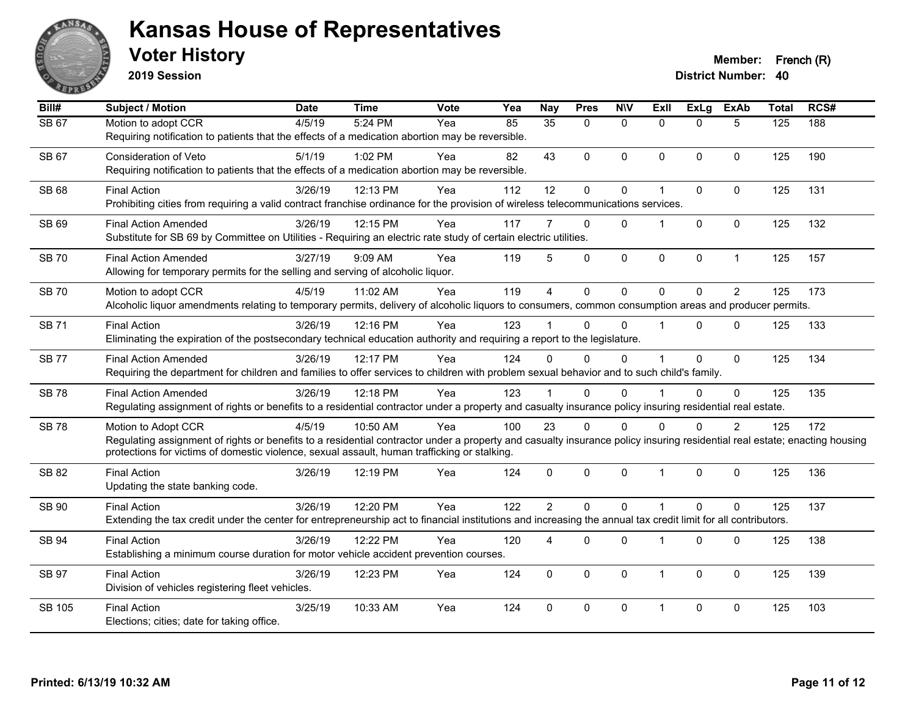

**2019 Session**

| Bill#         | <b>Subject / Motion</b>                                                                                                                                                   | <b>Date</b> | <b>Time</b> | Vote | Yea | <b>Nay</b>     | <b>Pres</b>  | <b>NIV</b>   | <b>Exll</b>          | <b>ExLg</b>  | <b>ExAb</b>    | <b>Total</b> | RCS# |
|---------------|---------------------------------------------------------------------------------------------------------------------------------------------------------------------------|-------------|-------------|------|-----|----------------|--------------|--------------|----------------------|--------------|----------------|--------------|------|
| <b>SB 67</b>  | Motion to adopt CCR                                                                                                                                                       | 4/5/19      | 5:24 PM     | Yea  | 85  | 35             | $\mathbf{0}$ | $\mathbf{0}$ | $\Omega$             | $\Omega$     | 5              | 125          | 188  |
|               | Requiring notification to patients that the effects of a medication abortion may be reversible.                                                                           |             |             |      |     |                |              |              |                      |              |                |              |      |
| <b>SB 67</b>  | <b>Consideration of Veto</b>                                                                                                                                              | 5/1/19      | 1:02 PM     | Yea  | 82  | 43             | $\mathbf{0}$ | $\mathbf{0}$ | $\mathbf{0}$         | $\Omega$     | 0              | 125          | 190  |
|               | Requiring notification to patients that the effects of a medication abortion may be reversible.                                                                           |             |             |      |     |                |              |              |                      |              |                |              |      |
| SB 68         | <b>Final Action</b>                                                                                                                                                       | 3/26/19     | 12:13 PM    | Yea  | 112 | 12             | 0            | $\mathbf 0$  | 1                    | 0            | $\pmb{0}$      | 125          | 131  |
|               | Prohibiting cities from requiring a valid contract franchise ordinance for the provision of wireless telecommunications services.                                         |             |             |      |     |                |              |              |                      |              |                |              |      |
| SB 69         | <b>Final Action Amended</b>                                                                                                                                               | 3/26/19     | 12:15 PM    | Yea  | 117 | 7              | $\Omega$     | $\mathbf{0}$ | 1                    | $\Omega$     | 0              | 125          | 132  |
|               | Substitute for SB 69 by Committee on Utilities - Requiring an electric rate study of certain electric utilities.                                                          |             |             |      |     |                |              |              |                      |              |                |              |      |
| <b>SB 70</b>  | <b>Final Action Amended</b>                                                                                                                                               | 3/27/19     | 9:09 AM     | Yea  | 119 | 5              | $\Omega$     | $\mathbf 0$  | $\mathbf 0$          | 0            | $\mathbf{1}$   | 125          | 157  |
|               | Allowing for temporary permits for the selling and serving of alcoholic liquor.                                                                                           |             |             |      |     |                |              |              |                      |              |                |              |      |
| <b>SB70</b>   | Motion to adopt CCR                                                                                                                                                       | 4/5/19      | 11:02 AM    | Yea  | 119 | $\overline{4}$ | $\mathbf 0$  | $\mathbf 0$  | $\Omega$             | $\Omega$     | $\overline{2}$ | 125          | 173  |
|               | Alcoholic liquor amendments relating to temporary permits, delivery of alcoholic liquors to consumers, common consumption areas and producer permits.                     |             |             |      |     |                |              |              |                      |              |                |              |      |
| <b>SB71</b>   | <b>Final Action</b>                                                                                                                                                       | 3/26/19     | 12:16 PM    | Yea  | 123 |                | $\Omega$     | $\Omega$     | $\mathbf 1$          | $\Omega$     | $\Omega$       | 125          | 133  |
|               | Eliminating the expiration of the postsecondary technical education authority and requiring a report to the legislature.                                                  |             |             |      |     |                |              |              |                      |              |                |              |      |
| <b>SB 77</b>  | <b>Final Action Amended</b>                                                                                                                                               | 3/26/19     | 12:17 PM    | Yea  | 124 | $\Omega$       | $\Omega$     | $\mathbf{0}$ | $\blacktriangleleft$ | $\Omega$     | 0              | 125          | 134  |
|               | Requiring the department for children and families to offer services to children with problem sexual behavior and to such child's family.                                 |             |             |      |     |                |              |              |                      |              |                |              |      |
| <b>SB78</b>   | <b>Final Action Amended</b>                                                                                                                                               | 3/26/19     | 12:18 PM    | Yea  | 123 |                | $\Omega$     | $\Omega$     |                      | $\Omega$     | $\Omega$       | 125          | 135  |
|               | Regulating assignment of rights or benefits to a residential contractor under a property and casualty insurance policy insuring residential real estate.                  |             |             |      |     |                |              |              |                      |              |                |              |      |
| <b>SB78</b>   | Motion to Adopt CCR                                                                                                                                                       | 4/5/19      | 10:50 AM    | Yea  | 100 | 23             | $\Omega$     | $\Omega$     | 0                    | $\Omega$     | 2              | 125          | 172  |
|               | Regulating assignment of rights or benefits to a residential contractor under a property and casualty insurance policy insuring residential real estate; enacting housing |             |             |      |     |                |              |              |                      |              |                |              |      |
|               | protections for victims of domestic violence, sexual assault, human trafficking or stalking.                                                                              |             |             |      |     |                |              |              |                      |              |                |              |      |
| <b>SB 82</b>  | <b>Final Action</b>                                                                                                                                                       | 3/26/19     | 12:19 PM    | Yea  | 124 | $\mathbf 0$    | $\mathbf 0$  | $\mathbf 0$  | $\mathbf{1}$         | $\mathbf 0$  | $\pmb{0}$      | 125          | 136  |
|               | Updating the state banking code.                                                                                                                                          |             |             |      |     |                |              |              |                      |              |                |              |      |
| SB 90         | <b>Final Action</b>                                                                                                                                                       | 3/26/19     | 12:20 PM    | Yea  | 122 | $\overline{2}$ | $\Omega$     | $\mathbf{0}$ | $\overline{1}$       | $\Omega$     | $\Omega$       | 125          | 137  |
|               | Extending the tax credit under the center for entrepreneurship act to financial institutions and increasing the annual tax credit limit for all contributors.             |             |             |      |     |                |              |              |                      |              |                |              |      |
| SB 94         | <b>Final Action</b>                                                                                                                                                       | 3/26/19     | 12:22 PM    | Yea  | 120 | 4              | $\Omega$     | $\mathbf 0$  | $\mathbf 1$          | 0            | $\mathbf 0$    | 125          | 138  |
|               | Establishing a minimum course duration for motor vehicle accident prevention courses.                                                                                     |             |             |      |     |                |              |              |                      |              |                |              |      |
| <b>SB 97</b>  | <b>Final Action</b>                                                                                                                                                       | 3/26/19     | 12:23 PM    | Yea  | 124 | $\Omega$       | $\Omega$     | $\mathbf{0}$ | $\mathbf{1}$         | $\mathbf{0}$ | $\Omega$       | 125          | 139  |
|               | Division of vehicles registering fleet vehicles.                                                                                                                          |             |             |      |     |                |              |              |                      |              |                |              |      |
| <b>SB 105</b> | <b>Final Action</b>                                                                                                                                                       | 3/25/19     | 10:33 AM    | Yea  | 124 | $\Omega$       | $\Omega$     | $\mathbf{0}$ | $\mathbf 1$          | $\Omega$     | $\Omega$       | 125          | 103  |
|               | Elections; cities; date for taking office.                                                                                                                                |             |             |      |     |                |              |              |                      |              |                |              |      |